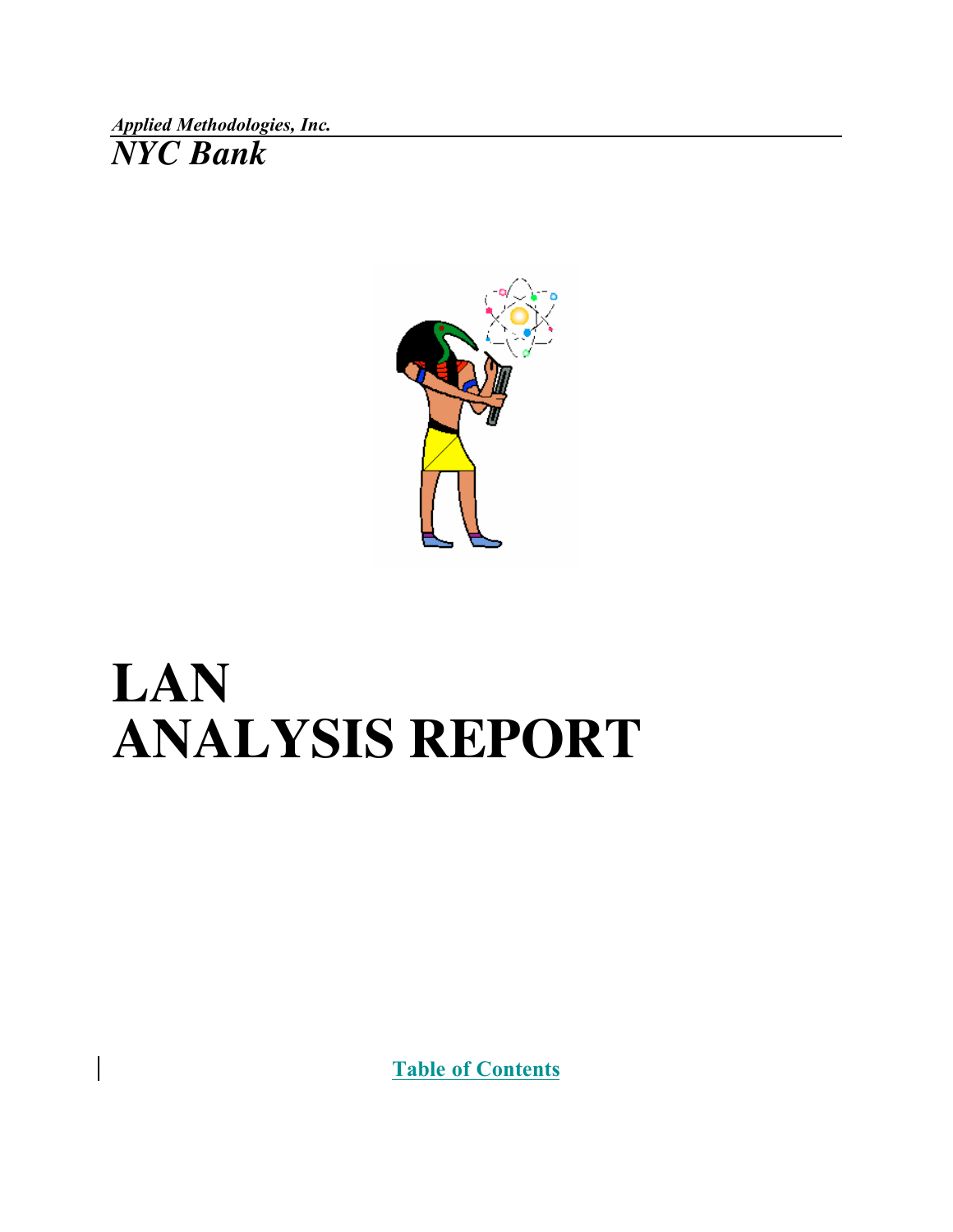*Applied Methodologies, Inc. NYC Bank*

 $\overline{\phantom{a}}$ 



# **LAN ANALYSIS REPORT**

Table of Contents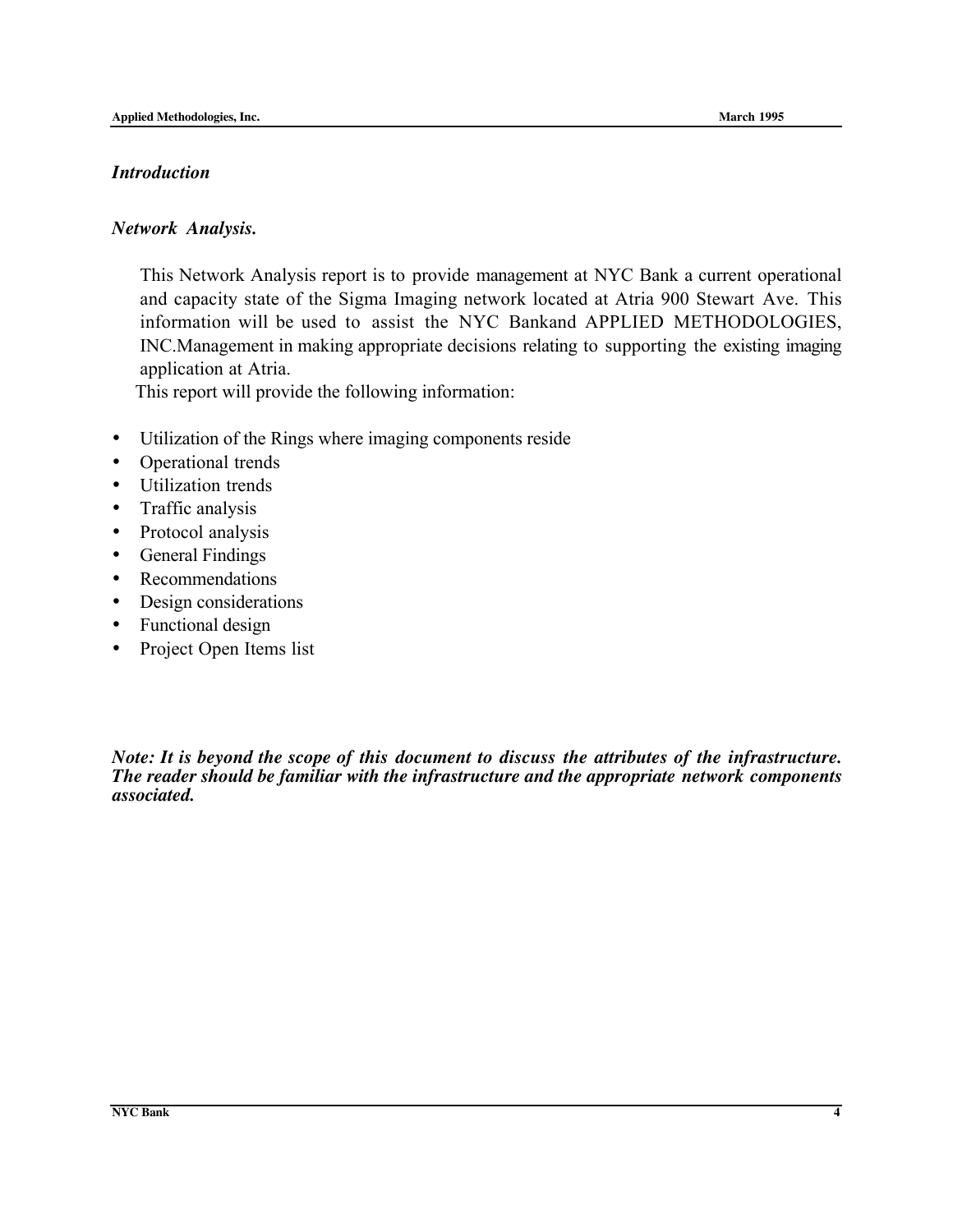#### *Introduction*

#### *Network Analysis.*

This Network Analysis report is to provide management at NYC Bank a current operational and capacity state of the Sigma Imaging network located at Atria 900 Stewart Ave. This information will be used to assist the NYC Bankand APPLIED METHODOLOGIES, INC.Management in making appropriate decisions relating to supporting the existing imaging application at Atria.

This report will provide the following information:

- Utilization of the Rings where imaging components reside
- Operational trends
- Utilization trends
- Traffic analysis
- Protocol analysis
- General Findings
- Recommendations
- Design considerations
- Functional design
- Project Open Items list

*Note: It is beyond the scope of this document to discuss the attributes of the infrastructure. The reader should be familiar with the infrastructure and the appropriate network components associated.*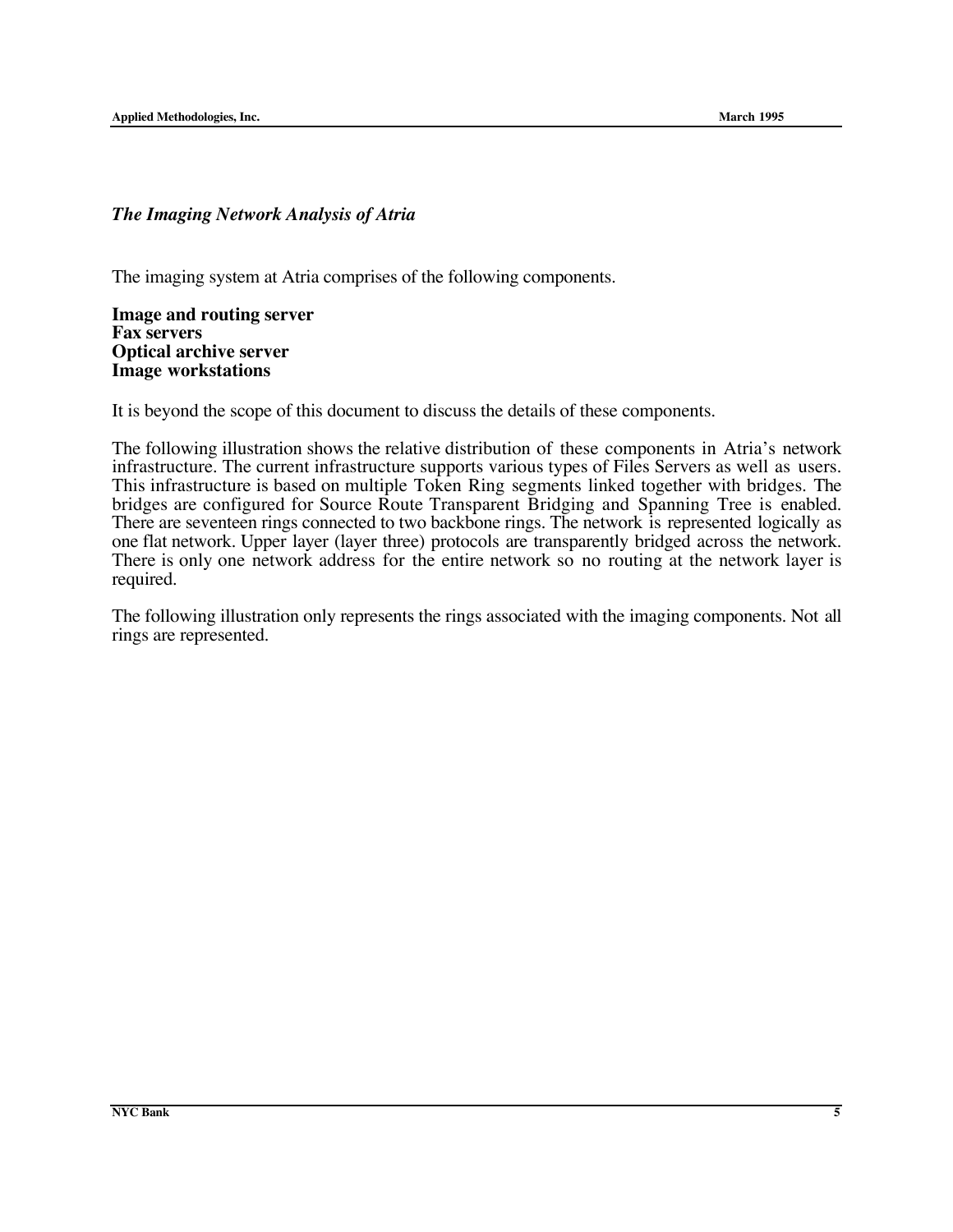#### *The Imaging Network Analysis of Atria*

The imaging system at Atria comprises of the following components.

**Image and routing server Fax servers Optical archive server Image workstations**

It is beyond the scope of this document to discuss the details of these components.

The following illustration shows the relative distribution of these components in Atria's network infrastructure. The current infrastructure supports various types of Files Servers as well as users. This infrastructure is based on multiple Token Ring segments linked together with bridges. The bridges are configured for Source Route Transparent Bridging and Spanning Tree is enabled. There are seventeen rings connected to two backbone rings. The network is represented logically as one flat network. Upper layer (layer three) protocols are transparently bridged across the network. There is only one network address for the entire network so no routing at the network layer is required.

The following illustration only represents the rings associated with the imaging components. Not all rings are represented.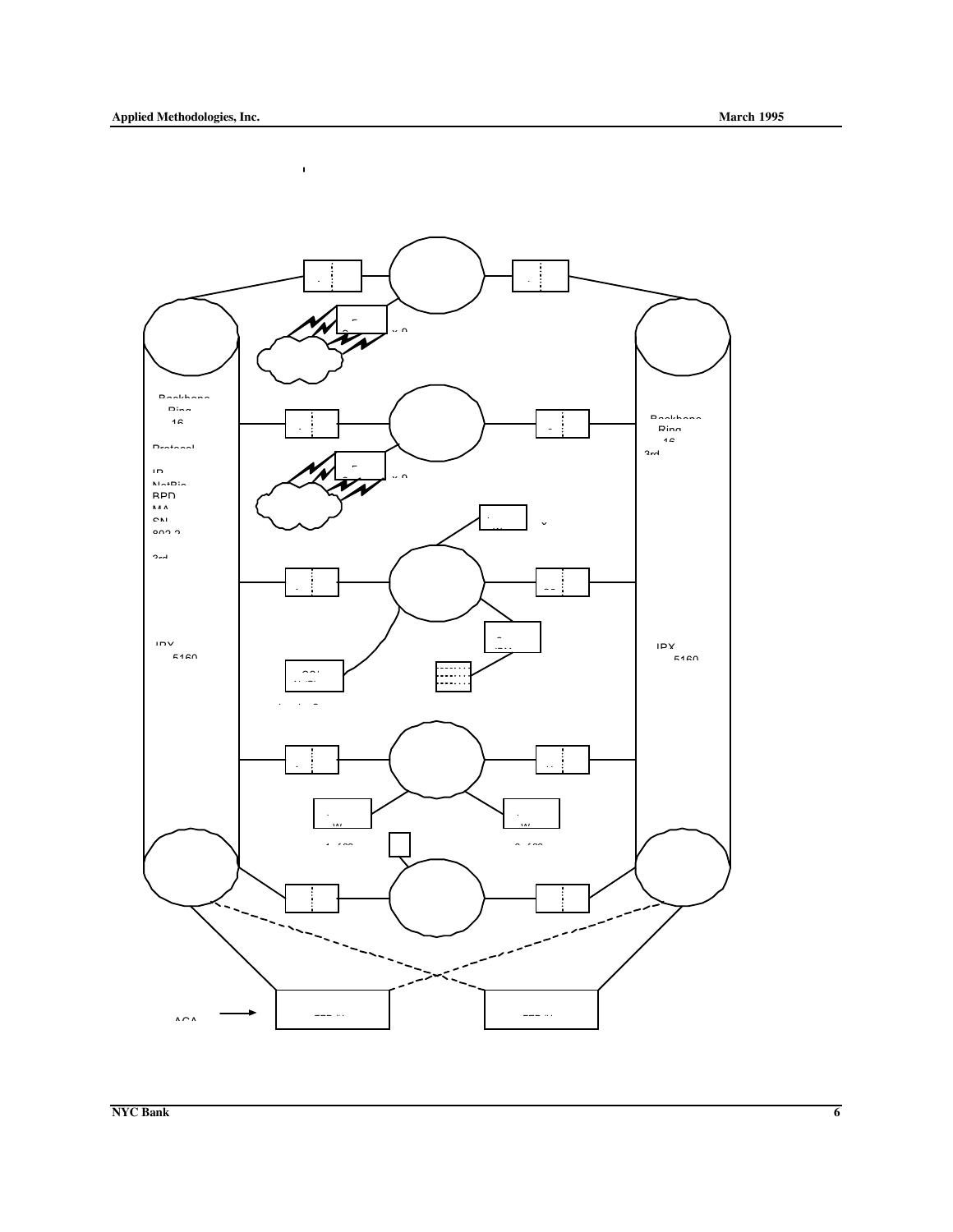$\mathbf{r}$ 

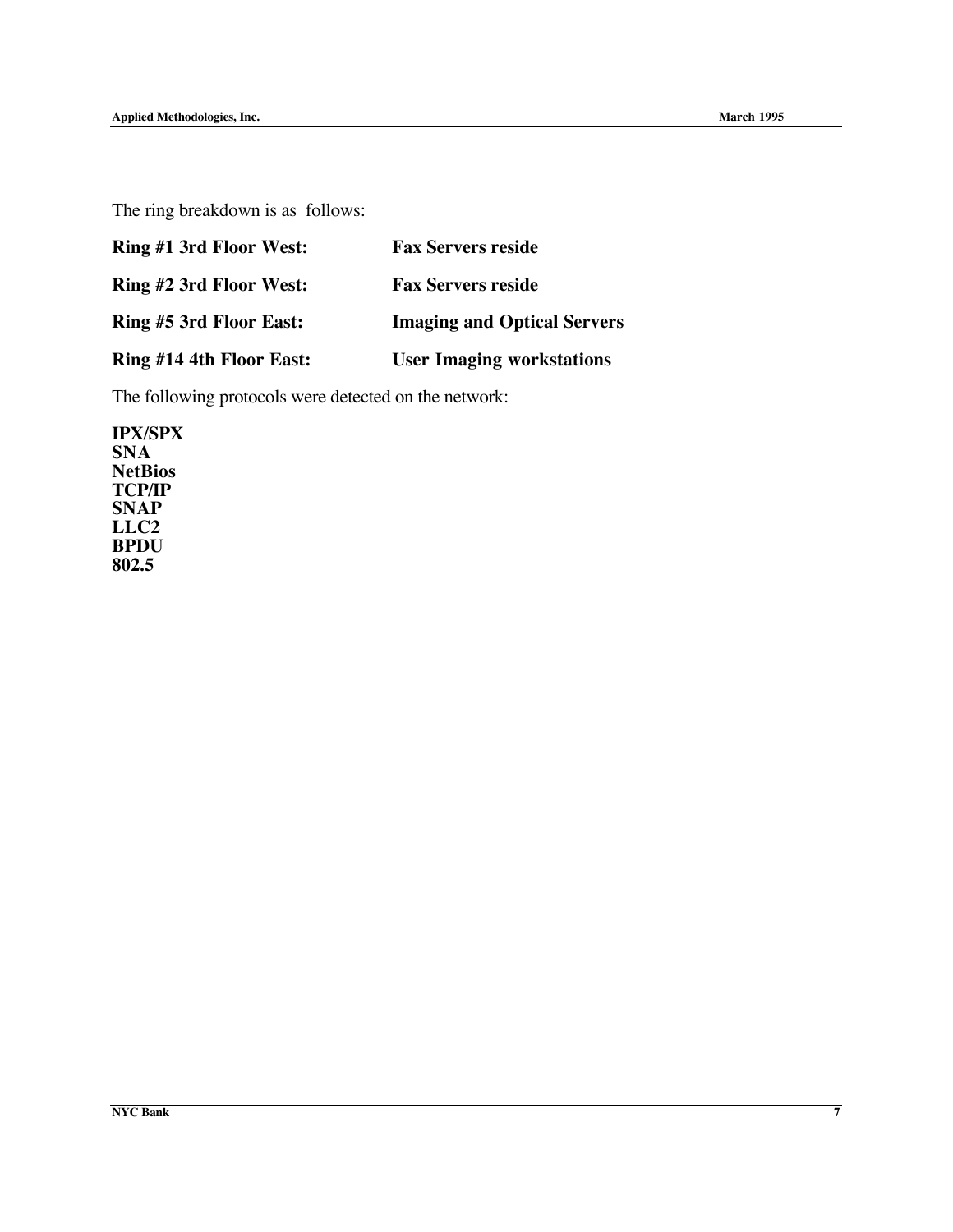The ring breakdown is as follows:

| <b>Ring #1 3rd Floor West:</b> | <b>Fax Servers reside</b>          |
|--------------------------------|------------------------------------|
| Ring #2 3rd Floor West:        | <b>Fax Servers reside</b>          |
| Ring #5 3rd Floor East:        | <b>Imaging and Optical Servers</b> |
| Ring #14 4th Floor East:       | <b>User Imaging workstations</b>   |

The following protocols were detected on the network:

**IPX/SPX SNA NetBios TCP/IP SNAP LLC2 BPDU 802.5**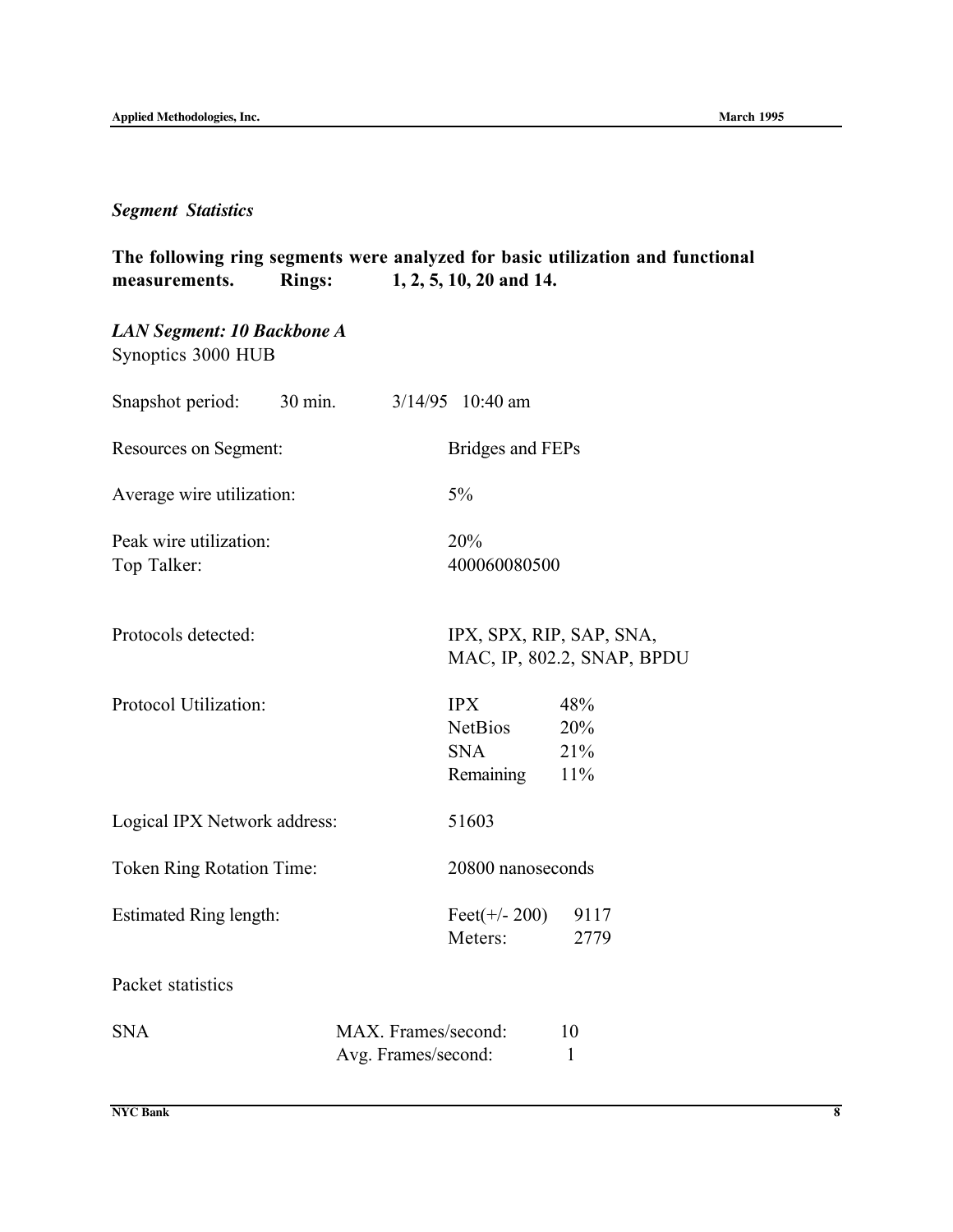## *Segment Statistics*

| measurements.                                    | <b>Rings:</b>     |                                            | 1, 2, 5, 10, 20 and 14.                          | The following ring segments were analyzed for basic utilization and functional |
|--------------------------------------------------|-------------------|--------------------------------------------|--------------------------------------------------|--------------------------------------------------------------------------------|
| LAN Segment: 10 Backbone A<br>Synoptics 3000 HUB |                   |                                            |                                                  |                                                                                |
| Snapshot period:                                 | $30 \text{ min.}$ |                                            | $3/14/95$ 10:40 am                               |                                                                                |
| Resources on Segment:                            |                   |                                            | Bridges and FEPs                                 |                                                                                |
| Average wire utilization:                        |                   |                                            | 5%                                               |                                                                                |
| Peak wire utilization:<br>Top Talker:            |                   |                                            | 20%<br>400060080500                              |                                                                                |
| Protocols detected:                              |                   |                                            | IPX, SPX, RIP, SAP, SNA,                         | MAC, IP, 802.2, SNAP, BPDU                                                     |
| Protocol Utilization:                            |                   |                                            | IPX<br><b>NetBios</b><br><b>SNA</b><br>Remaining | 48%<br>20%<br>21%<br>11%                                                       |
| Logical IPX Network address:                     |                   |                                            | 51603                                            |                                                                                |
| <b>Token Ring Rotation Time:</b>                 |                   |                                            | 20800 nanoseconds                                |                                                                                |
| Estimated Ring length:                           |                   |                                            | Feet $(+/- 200)$<br>Meters:                      | 9117<br>2779                                                                   |
| Packet statistics                                |                   |                                            |                                                  |                                                                                |
| <b>SNA</b>                                       |                   | MAX. Frames/second:<br>Avg. Frames/second: |                                                  | 10<br>1                                                                        |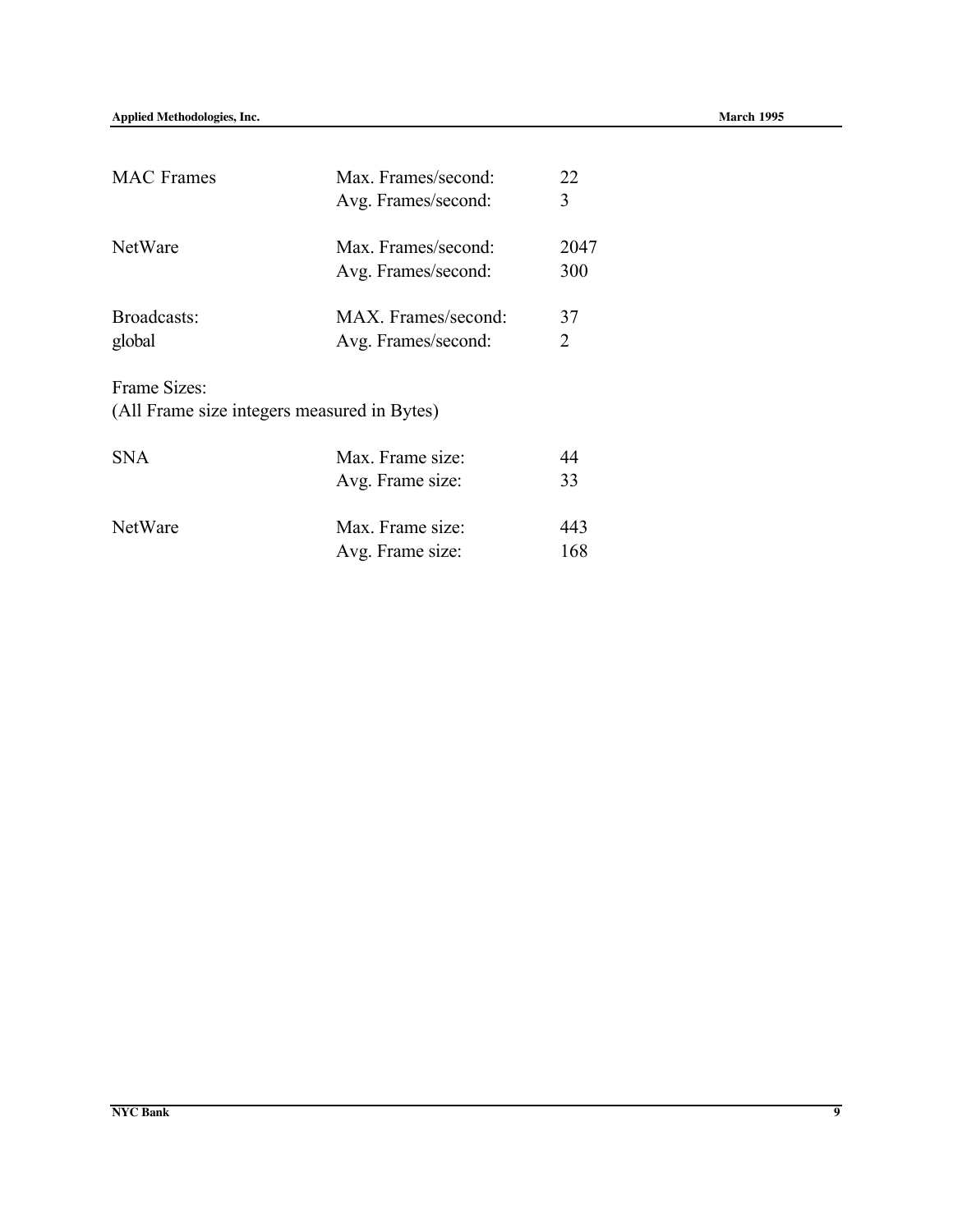| <b>MAC</b> Frames                           | Max. Frames/second: | 22   |
|---------------------------------------------|---------------------|------|
|                                             | Avg. Frames/second: | 3    |
| NetWare                                     | Max. Frames/second: | 2047 |
|                                             | Avg. Frames/second: | 300  |
| Broadcasts:                                 | MAX. Frames/second: | 37   |
| global                                      | Avg. Frames/second: | 2    |
| Frame Sizes:                                |                     |      |
| (All Frame size integers measured in Bytes) |                     |      |
| <b>SNA</b>                                  | Max. Frame size:    | 44   |
|                                             | Avg. Frame size:    | 33   |
| NetWare                                     | Max. Frame size:    | 443  |

Avg. Frame size: 168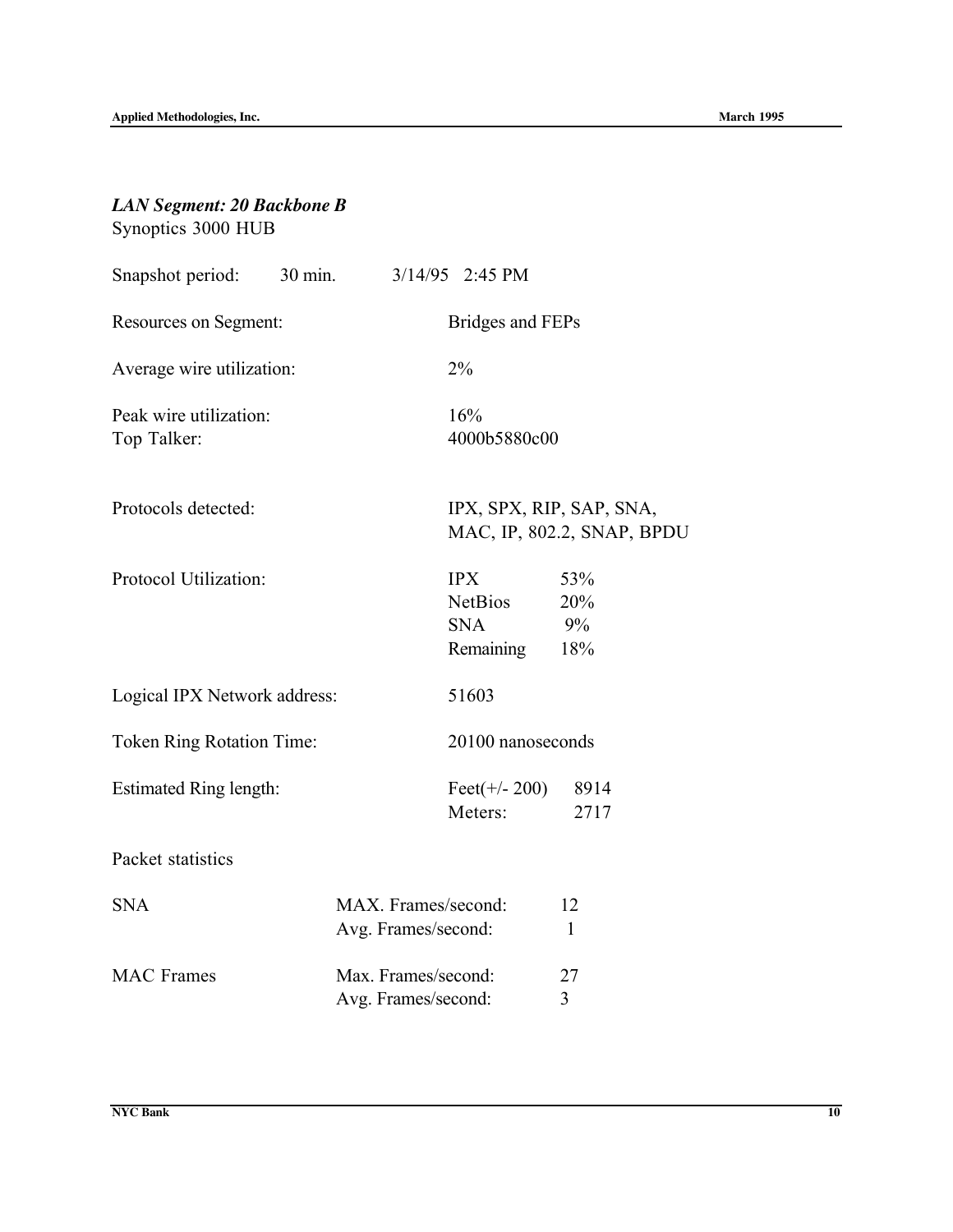## *LAN Segment: 20 Backbone B* Synoptics 3000 HUB

| Snapshot period: 30 min. 3/14/95 2:45 PM |                                            |                                                         |                                                        |
|------------------------------------------|--------------------------------------------|---------------------------------------------------------|--------------------------------------------------------|
| Resources on Segment:                    |                                            | <b>Bridges and FEPs</b>                                 |                                                        |
| Average wire utilization:                |                                            | 2%                                                      |                                                        |
| Peak wire utilization:<br>Top Talker:    |                                            | 16%<br>4000b5880c00                                     |                                                        |
| Protocols detected:                      |                                            |                                                         | IPX, SPX, RIP, SAP, SNA,<br>MAC, IP, 802.2, SNAP, BPDU |
| Protocol Utilization:                    |                                            | <b>IPX</b><br><b>NetBios</b><br><b>SNA</b><br>Remaining | 53%<br>20%<br>9%<br>18%                                |
| Logical IPX Network address:             |                                            | 51603                                                   |                                                        |
| <b>Token Ring Rotation Time:</b>         |                                            | 20100 nanoseconds                                       |                                                        |
| <b>Estimated Ring length:</b>            |                                            | Feet(+/- 200) 8914<br>Meters:                           | 2717                                                   |
| Packet statistics                        |                                            |                                                         |                                                        |
| <b>SNA</b>                               | MAX. Frames/second:<br>Avg. Frames/second: |                                                         | 12<br>$\mathbf{1}$                                     |
| <b>MAC</b> Frames                        | Max. Frames/second:<br>Avg. Frames/second: |                                                         | 27<br>3                                                |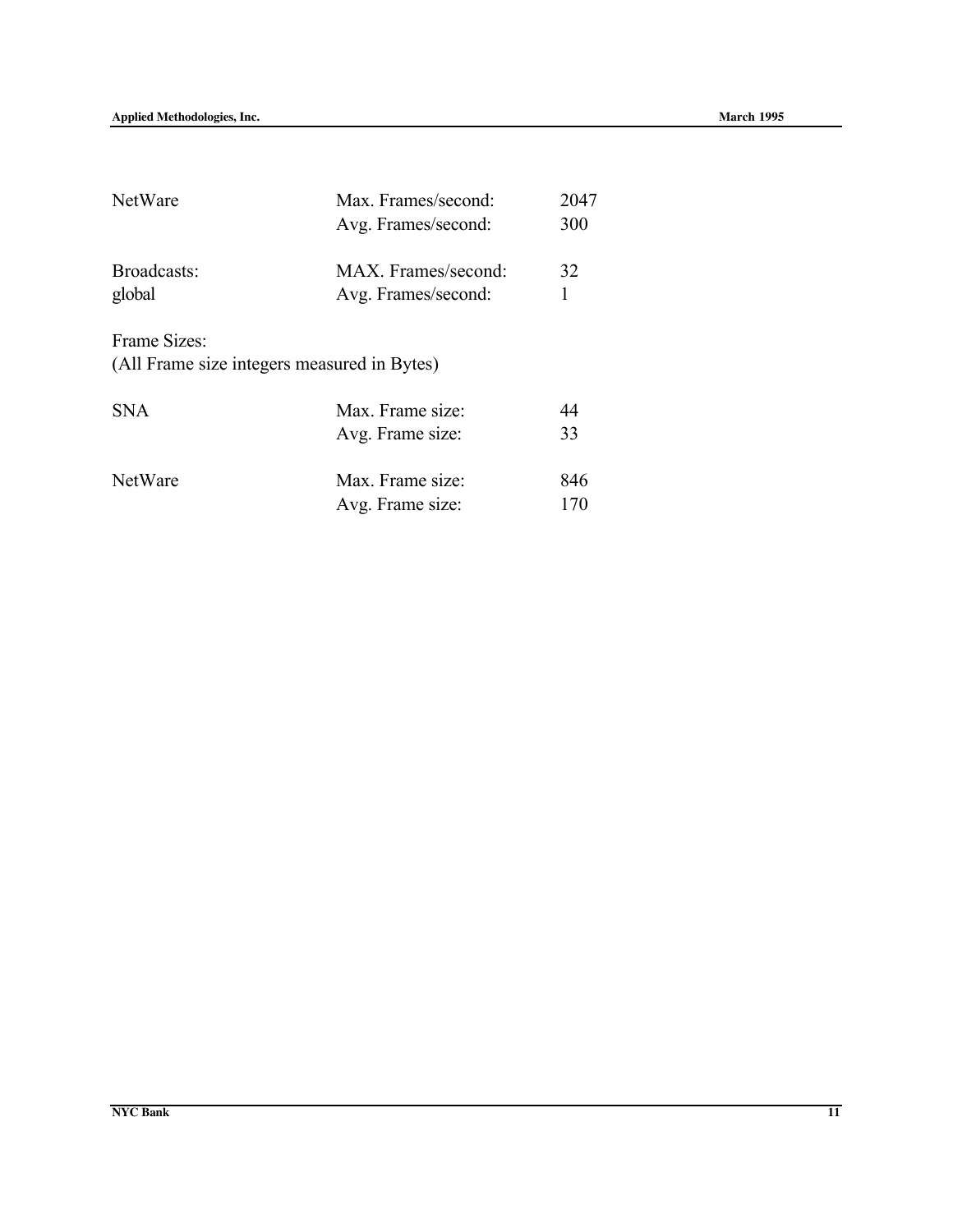| NetWare                                                     | Max. Frames/second:<br>Avg. Frames/second: | 2047<br>300 |
|-------------------------------------------------------------|--------------------------------------------|-------------|
| Broadcasts:<br>global                                       | MAX. Frames/second:<br>Avg. Frames/second: | 32<br>1     |
| Frame Sizes:<br>(All Frame size integers measured in Bytes) |                                            |             |
| <b>SNA</b>                                                  | Max. Frame size:<br>Avg. Frame size:       | 44<br>33    |
| NetWare                                                     | Max. Frame size:<br>Avg. Frame size:       | 846<br>170  |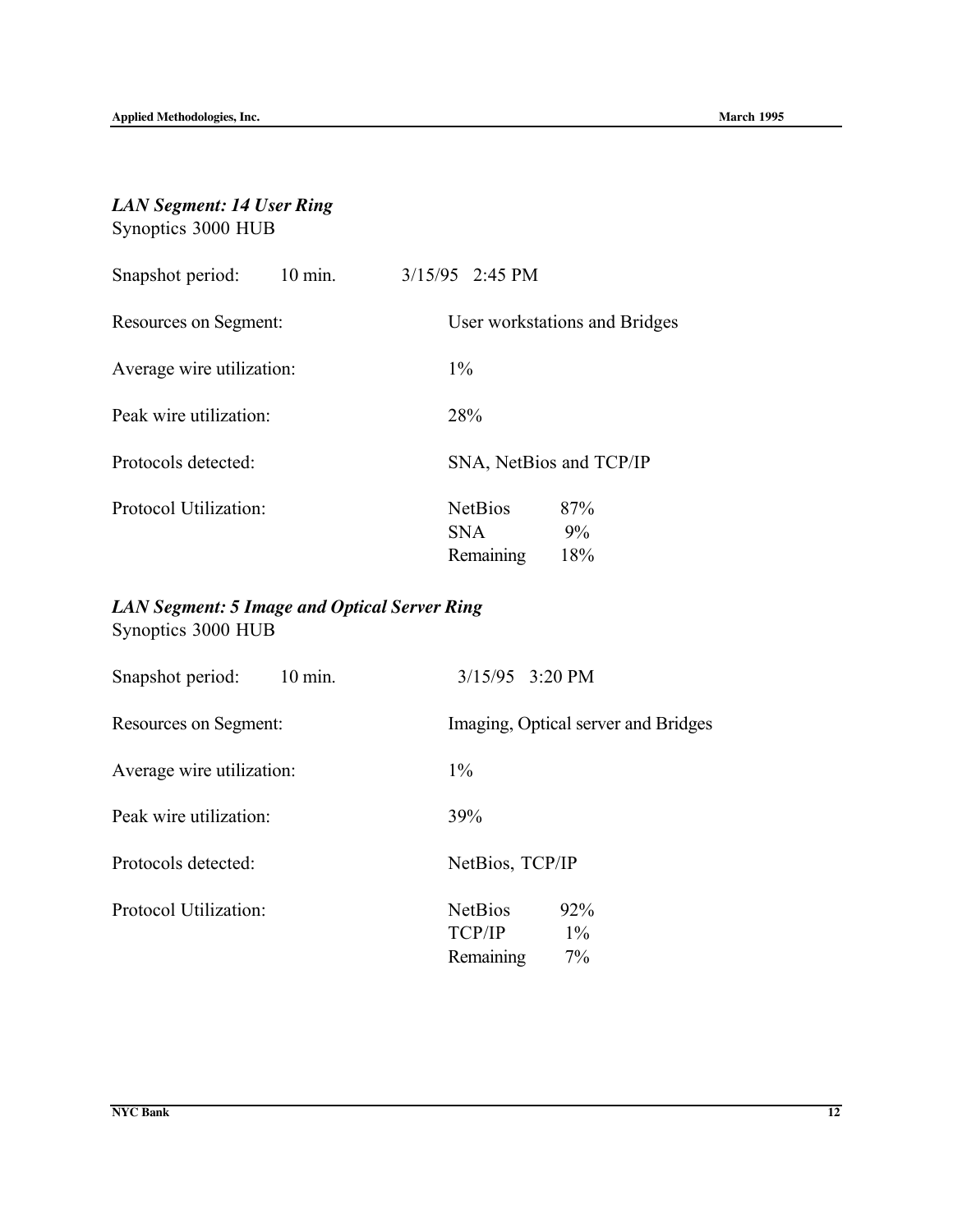## *LAN Segment: 14 User Ring* Synoptics 3000 HUB

| Snapshot period:          | $10 \text{ min}$ . | $3/15/95$ 2:45 PM |                |                               |  |
|---------------------------|--------------------|-------------------|----------------|-------------------------------|--|
| Resources on Segment:     |                    |                   |                | User workstations and Bridges |  |
| Average wire utilization: |                    | $1\%$             |                |                               |  |
| Peak wire utilization:    |                    | 28%               |                |                               |  |
| Protocols detected:       |                    |                   |                | SNA, NetBios and TCP/IP       |  |
| Protocol Utilization:     |                    | <b>SNA</b>        | <b>NetBios</b> | 87%<br>$9\%$                  |  |
|                           |                    |                   | Remaining      | 18%                           |  |

## *LAN Segment: 5 Image and Optical Server Ring* Synoptics 3000 HUB

| Snapshot period:<br>$10 \text{ min.}$ | $3/15/95$ 3:20 PM                                           |
|---------------------------------------|-------------------------------------------------------------|
| Resources on Segment:                 | Imaging, Optical server and Bridges                         |
| Average wire utilization:             | $1\%$                                                       |
| Peak wire utilization:                | 39%                                                         |
| Protocols detected:                   | NetBios, TCP/IP                                             |
| Protocol Utilization:                 | <b>NetBios</b><br>92%<br>TCP/IP<br>$1\%$<br>7%<br>Remaining |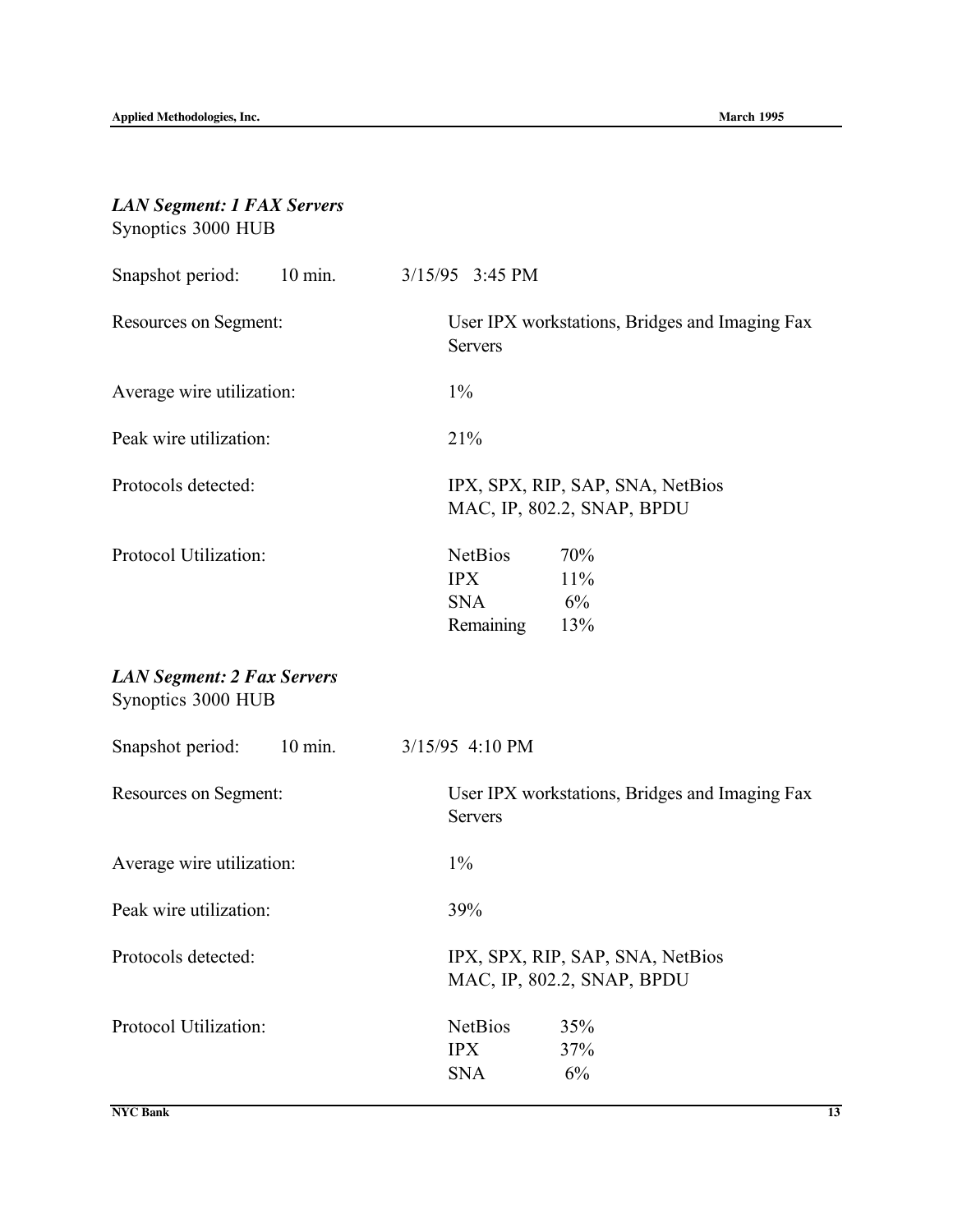## *LAN Segment: 1 FAX Servers* Synoptics 3000 HUB

| 10 min. 3/15/95 3:45 PM<br>Snapshot period:             |                                                                                    |
|---------------------------------------------------------|------------------------------------------------------------------------------------|
| Resources on Segment:                                   | User IPX workstations, Bridges and Imaging Fax<br><b>Servers</b>                   |
| Average wire utilization:                               | $1\%$                                                                              |
| Peak wire utilization:                                  | 21%                                                                                |
| Protocols detected:                                     | IPX, SPX, RIP, SAP, SNA, NetBios<br>MAC, IP, 802.2, SNAP, BPDU                     |
| Protocol Utilization:                                   | <b>NetBios</b><br>70%<br><b>IPX</b><br>11%<br><b>SNA</b><br>6%<br>Remaining<br>13% |
| <b>LAN Segment: 2 Fax Servers</b><br>Synoptics 3000 HUB |                                                                                    |
| $10 \text{ min.}$<br>Snapshot period:                   | 3/15/95 4:10 PM                                                                    |
| Resources on Segment:                                   | User IPX workstations, Bridges and Imaging Fax<br><b>Servers</b>                   |
| Average wire utilization:                               | $1\%$                                                                              |
| Peak wire utilization:                                  | 39%                                                                                |
| Protocols detected:                                     | IPX, SPX, RIP, SAP, SNA, NetBios<br>MAC, IP, 802.2, SNAP, BPDU                     |
| Protocol Utilization:                                   | <b>NetBios</b><br>35%<br><b>IPX</b><br>37%<br>6%<br><b>SNA</b>                     |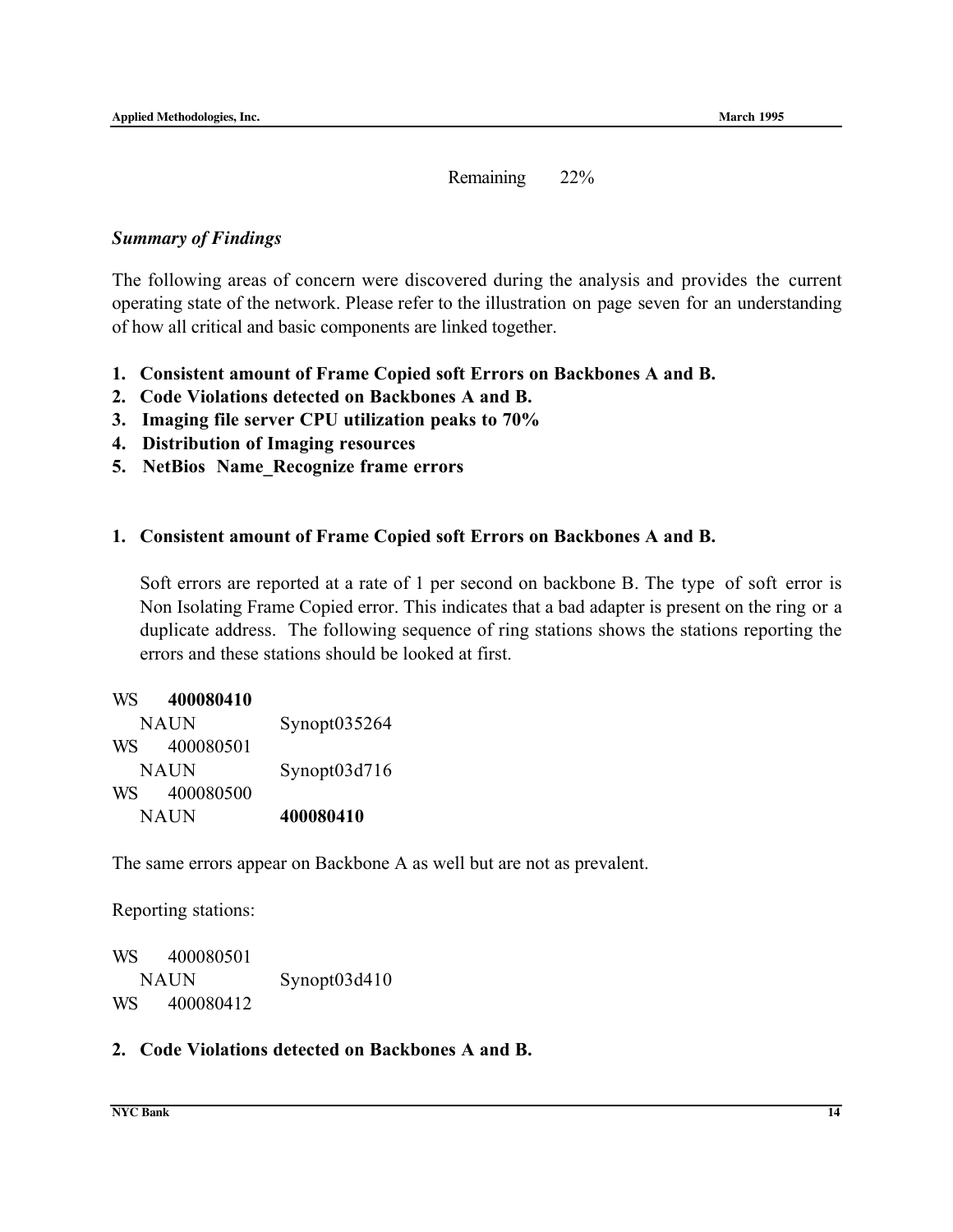Remaining 22%

#### *Summary of Findings*

The following areas of concern were discovered during the analysis and provides the current operating state of the network. Please refer to the illustration on page seven for an understanding of how all critical and basic components are linked together.

- 1. Consistent amount of Frame Copied soft Errors on Backbones A and B.
- 2. Code Violations detected on Backbones A and B.
- 3. Imaging file server CPU utilization peaks to 70%
- 4. Distribution of Imaging resources
- 5. NetBios Name\_Recognize frame errors

#### 1. Consistent amount of Frame Copied soft Errors on Backbones A and B.

Soft errors are reported at a rate of 1 per second on backbone B. The type of soft error is Non Isolating Frame Copied error. This indicates that a bad adapter is present on the ring or a duplicate address. The following sequence of ring stations shows the stations reporting the errors and these stations should be looked at first.

| WS | 400080410 |                 |
|----|-----------|-----------------|
|    | NAUN      | Synopt $035264$ |
| WS | 400080501 |                 |
|    | NAUN      | Synopt03d716    |
| WS | 400080500 |                 |
|    | NAUN      | 400080410       |

The same errors appear on Backbone A as well but are not as prevalent.

Reporting stations:

| WS. | 400080501   |              |
|-----|-------------|--------------|
|     | <b>NAUN</b> | Synopt03d410 |
| WS. | 400080412   |              |

#### 2. Code Violations detected on Backbones A and B.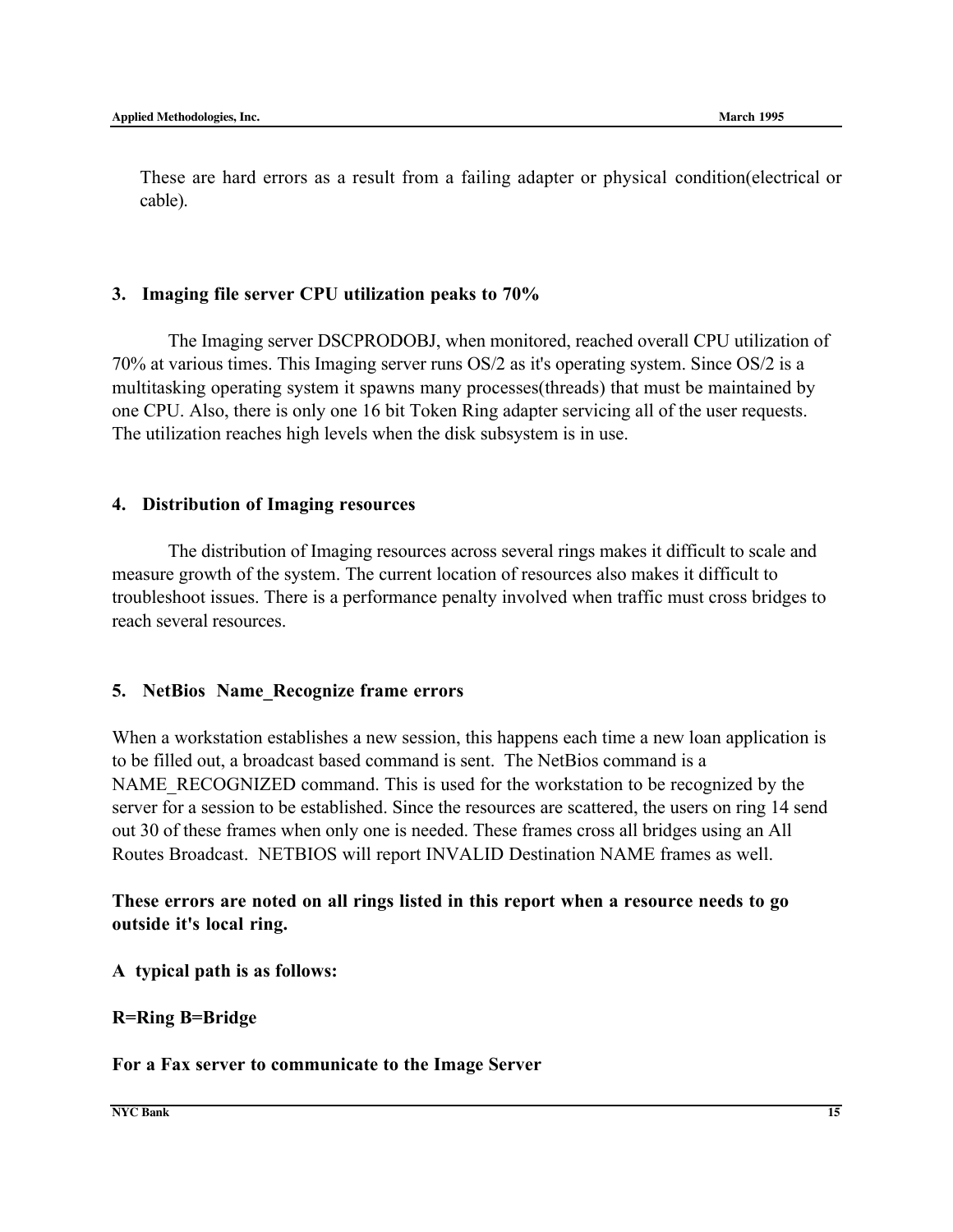These are hard errors as a result from a failing adapter or physical condition(electrical or cable).

#### 3. Imaging file server CPU utilization peaks to 70%

The Imaging server DSCPRODOBJ, when monitored, reached overall CPU utilization of 70% at various times. This Imaging server runs OS/2 as it's operating system. Since OS/2 is a multitasking operating system it spawns many processes(threads) that must be maintained by one CPU. Also, there is only one 16 bit Token Ring adapter servicing all of the user requests. The utilization reaches high levels when the disk subsystem is in use.

#### 4. Distribution of Imaging resources

The distribution of Imaging resources across several rings makes it difficult to scale and measure growth of the system. The current location of resources also makes it difficult to troubleshoot issues. There is a performance penalty involved when traffic must cross bridges to reach several resources.

#### 5. NetBios Name\_Recognize frame errors

When a workstation establishes a new session, this happens each time a new loan application is to be filled out, a broadcast based command is sent. The NetBios command is a NAME\_RECOGNIZED command. This is used for the workstation to be recognized by the server for a session to be established. Since the resources are scattered, the users on ring 14 send out 30 of these frames when only one is needed. These frames cross all bridges using an All Routes Broadcast. NETBIOS will report INVALID Destination NAME frames as well.

#### These errors are noted on all rings listed in this report when a resource needs to go outside it's local ring.

#### A typical path is as follows:

#### R=Ring B=Bridge

#### For a Fax server to communicate to the Image Server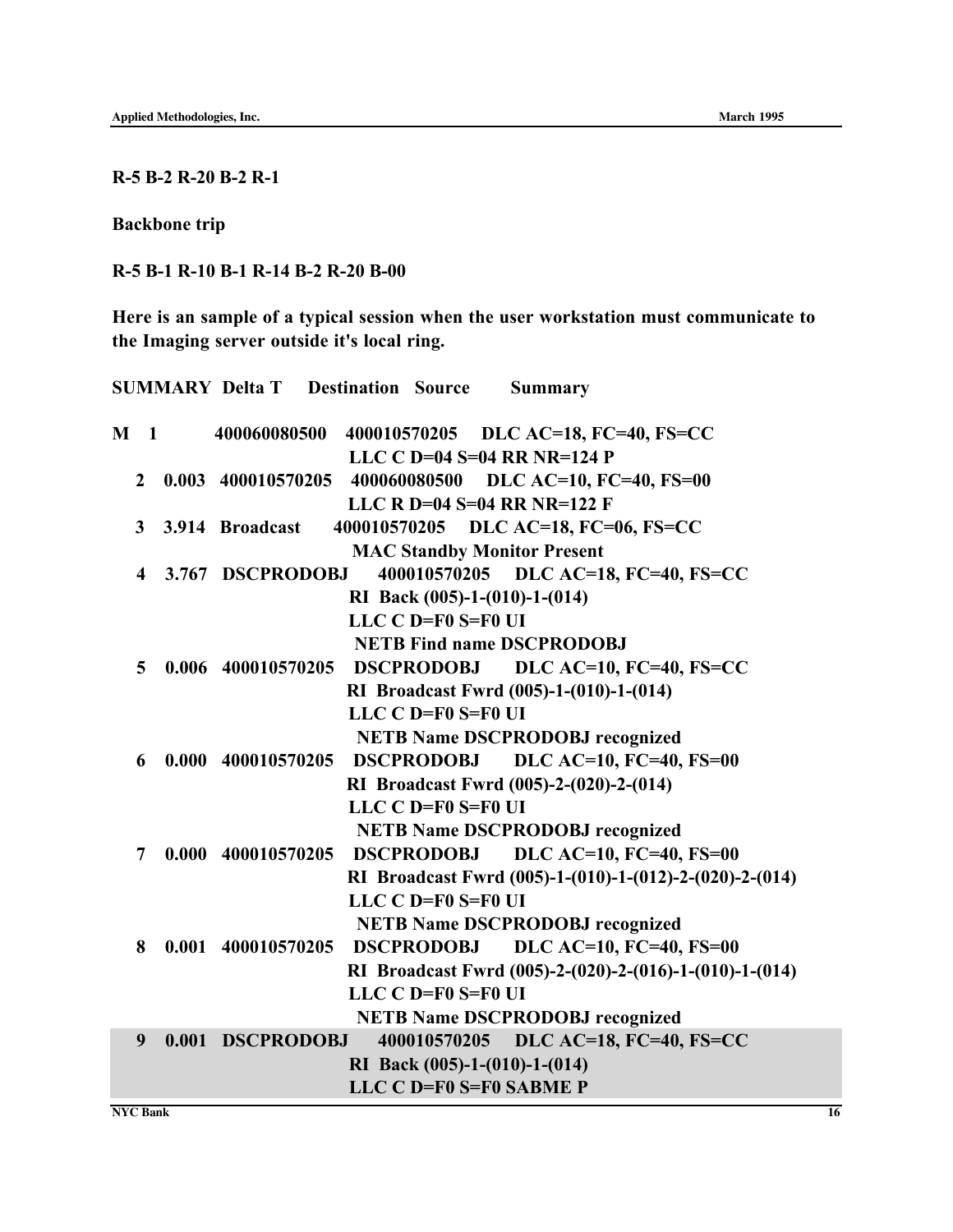R-5 B-2 R-20 B-2 R-1

Backbone trip

R-5 B-1 R-10 B-1 R-14 B-2 R-20 B-00

Here is an sample of a typical session when the user workstation must communicate to the Imaging server outside it's local ring.

|                |                | <b>SUMMARY Delta T Destination Source</b><br><b>Summary</b>                           |
|----------------|----------------|---------------------------------------------------------------------------------------|
| M <sub>1</sub> |                | 400060080500<br>400010570205 DLC AC=18, FC=40, FS=CC<br>LLC C $D=04$ S=04 RR NR=124 P |
|                | $\overline{2}$ | 0.003 400010570205 400060080500 DLC AC=10, FC=40, FS=00                               |
|                |                | LLC R D=04 S=04 RR NR=122 F                                                           |
|                | $\mathbf{3}$   | 400010570205 DLC AC=18, FC=06, FS=CC<br>3.914 Broadcast                               |
|                |                | <b>MAC Standby Monitor Present</b>                                                    |
|                | 4              | <b>DLC AC=18, FC=40, FS=CC</b><br>3.767 DSCPRODOBJ<br>400010570205                    |
|                |                | RI Back (005)-1-(010)-1-(014)                                                         |
|                |                | LLC $C$ D=F0 S=F0 UI                                                                  |
|                |                | <b>NETB Find name DSCPRODOBJ</b>                                                      |
|                | 5              | 0.006 400010570205<br><b>DLC AC=10, FC=40, FS=CC</b><br><b>DSCPRODOBJ</b>             |
|                |                | RI Broadcast Fwrd (005)-1-(010)-1-(014)                                               |
|                |                | LLC C D=F0 S=F0 UI                                                                    |
|                |                | <b>NETB Name DSCPRODOBJ recognized</b>                                                |
|                | 6              | DLC AC=10, FC=40, FS=00<br>0.000 400010570205<br><b>DSCPRODOBJ</b>                    |
|                |                | RI Broadcast Fwrd (005)-2-(020)-2-(014)                                               |
|                |                | LLC C D=F0 S=F0 UI                                                                    |
|                |                | <b>NETB Name DSCPRODOBJ recognized</b>                                                |
|                | 7              | DSCPRODOBJ DLC AC=10, FC=40, FS=00<br>0.000 400010570205                              |
|                |                | RI Broadcast Fwrd (005)-1-(010)-1-(012)-2-(020)-2-(014)                               |
|                |                | LLC C D=F0 S=F0 UI                                                                    |
|                |                | <b>NETB Name DSCPRODOBJ recognized</b>                                                |
|                | 8              | <b>DLC AC=10, FC=40, FS=00</b><br>0.001 400010570205<br><b>DSCPRODOBJ</b>             |
|                |                | RI Broadcast Fwrd (005)-2-(020)-2-(016)-1-(010)-1-(014)                               |
|                |                | LLC C D=F0 S=F0 UI                                                                    |
|                |                | <b>NETB Name DSCPRODOBJ recognized</b>                                                |
|                | 9              | DLC AC=18, FC=40, FS=CC<br>0.001 DSCPRODOBJ<br>400010570205                           |
|                |                | RI Back (005)-1-(010)-1-(014)                                                         |
|                |                | LLC C D=F0 S=F0 SABME P                                                               |

**NYC Bank 16**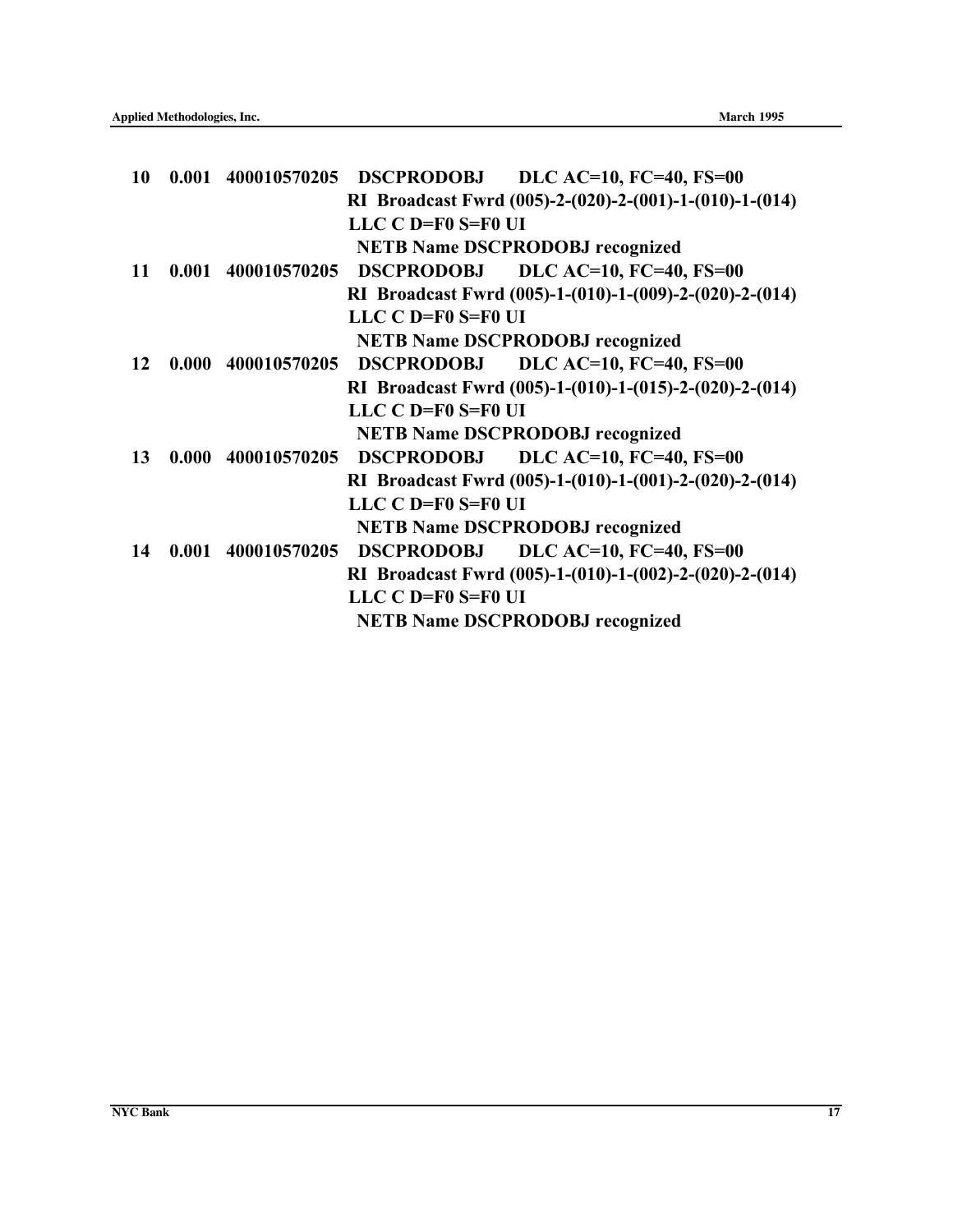|       |                      | RI Broadcast Fwrd (005)-2-(020)-2-(001)-1-(010)-1-(014)                                                                          |
|-------|----------------------|----------------------------------------------------------------------------------------------------------------------------------|
|       | LLC C D=F0 S=F0 UI   |                                                                                                                                  |
|       |                      | <b>NETB Name DSCPRODOBJ recognized</b>                                                                                           |
| 0.001 |                      | DSCPRODOBJ DLC AC=10, FC=40, FS=00                                                                                               |
|       |                      | RI Broadcast Fwrd (005)-1-(010)-1-(009)-2-(020)-2-(014)                                                                          |
|       | LLC $C$ D=F0 S=F0 UI |                                                                                                                                  |
|       |                      | <b>NETB Name DSCPRODOBJ recognized</b>                                                                                           |
| 0.000 |                      | <b>DLC AC=10, FC=40, FS=00</b>                                                                                                   |
|       |                      | RI Broadcast Fwrd (005)-1-(010)-1-(015)-2-(020)-2-(014)                                                                          |
|       | LLC $C$ D=F0 S=F0 UI |                                                                                                                                  |
|       |                      | <b>NETB Name DSCPRODOBJ recognized</b>                                                                                           |
| 0.000 |                      | DSCPRODOBJ DLC AC=10, FC=40, FS=00                                                                                               |
|       |                      | RI Broadcast Fwrd (005)-1-(010)-1-(001)-2-(020)-2-(014)                                                                          |
|       | LLC $C$ D=F0 S=F0 UI |                                                                                                                                  |
|       |                      | <b>NETB Name DSCPRODOBJ recognized</b>                                                                                           |
| 0.001 | <b>DSCPRODOBJ</b>    | <b>DLC AC=10, FC=40, FS=00</b>                                                                                                   |
|       |                      | RI Broadcast Fwrd (005)-1-(010)-1-(002)-2-(020)-2-(014)                                                                          |
|       | LLC C D=F0 S=F0 UI   |                                                                                                                                  |
|       |                      | <b>NETB Name DSCPRODOBJ recognized</b>                                                                                           |
|       |                      | 0.001 400010570205 DSCPRODOBJ DLC AC=10, FC=40, FS=00<br>400010570205<br>400010570205 DSCPRODOBJ<br>400010570205<br>400010570205 |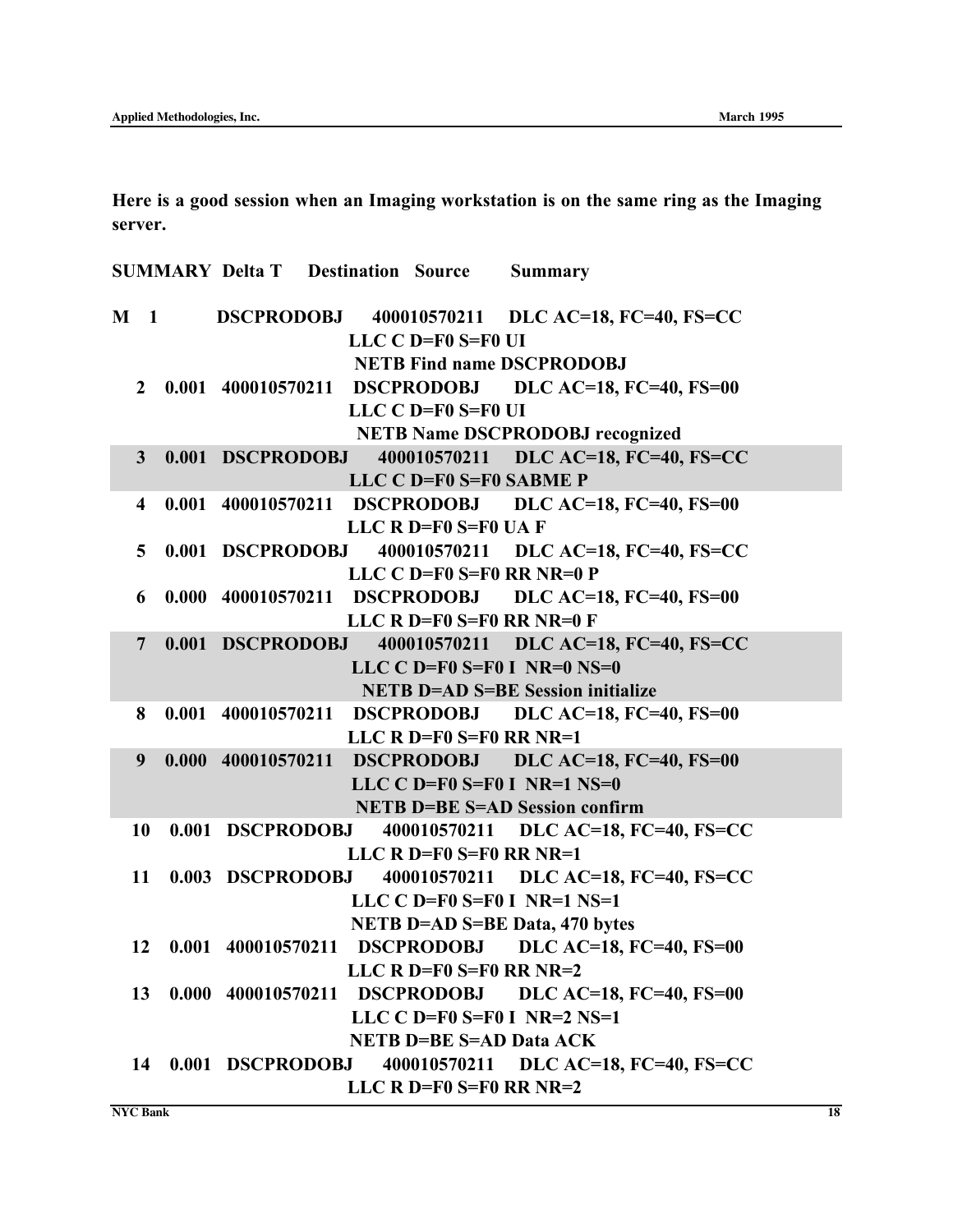Here is a good session when an Imaging workstation is on the same ring as the Imaging server.

|                | <b>SUMMARY Delta T Destination Source</b> |                                 | <b>Summary</b>                                          |
|----------------|-------------------------------------------|---------------------------------|---------------------------------------------------------|
|                |                                           |                                 | M 1 DSCPRODOBJ 400010570211 DLC AC=18, FC=40, FS=CC     |
|                |                                           | LLC C D=F0 S=F0 UI              |                                                         |
|                |                                           |                                 | <b>NETB Find name DSCPRODOBJ</b>                        |
|                |                                           |                                 | 2 0.001 400010570211 DSCPRODOBJ DLC AC=18, FC=40, FS=00 |
|                |                                           | LLC C D=F0 S=F0 UI              |                                                         |
|                |                                           |                                 | <b>NETB Name DSCPRODOBJ recognized</b>                  |
| 3 <sup>1</sup> |                                           |                                 | 0.001 DSCPRODOBJ 400010570211 DLC AC=18, FC=40, FS=CC   |
|                |                                           | LLC C D=F0 S=F0 SABME P         |                                                         |
| 4              |                                           |                                 | 0.001 400010570211 DSCPRODOBJ DLC AC=18, FC=40, FS=00   |
|                |                                           | LLC R D=F0 S=F0 UA F            |                                                         |
| 5 <sup>5</sup> |                                           |                                 | 0.001 DSCPRODOBJ 400010570211 DLC AC=18, FC=40, FS=CC   |
|                |                                           | LLC $C$ D=F0 S=F0 RR NR=0 P     |                                                         |
| 6              |                                           |                                 | 0.000 400010570211 DSCPRODOBJ DLC AC=18, FC=40, FS=00   |
|                |                                           | LLC R $D = F0$ S=F0 RR NR=0 F   |                                                         |
| $\overline{7}$ | 0.001 DSCPRODOBJ                          |                                 | 400010570211 DLC AC=18, FC=40, FS=CC                    |
|                |                                           |                                 | LLC C D=F0 $S=$ F0 I NR=0 NS=0                          |
|                |                                           |                                 | <b>NETB D=AD S=BE Session initialize</b>                |
| 8              |                                           |                                 | 0.001 400010570211 DSCPRODOBJ DLC AC=18, FC=40, FS=00   |
|                |                                           | LLC R $D = F0 S = F0 RR NR = 1$ |                                                         |
| 9              |                                           |                                 | 0.000 400010570211 DSCPRODOBJ DLC AC=18, FC=40, FS=00   |
|                |                                           |                                 | LLC $C$ D=F0 S=F0 I NR=1 NS=0                           |
|                |                                           |                                 | <b>NETB D=BE S=AD Session confirm</b>                   |
| 10             |                                           |                                 | 0.001 DSCPRODOBJ 400010570211 DLC AC=18, FC=40, FS=CC   |
|                |                                           | LLC R $D = F0$ S=F0 RR NR=1     |                                                         |
| 11             | 0.003 DSCPRODOBJ                          |                                 | 400010570211 DLC AC=18, FC=40, FS=CC                    |
|                |                                           |                                 | LLC $C$ D=F0 S=F0 I NR=1 NS=1                           |
|                |                                           |                                 | <b>NETB D=AD S=BE Data, 470 bytes</b>                   |
| 12             |                                           |                                 | 0.001 400010570211 DSCPRODOBJ DLC AC=18, FC=40, FS=00   |
|                |                                           | LLC R $D = F0$ S=F0 RR NR=2     |                                                         |
| 13             |                                           |                                 | 0.000 400010570211 DSCPRODOBJ DLC AC=18, FC=40, FS=00   |
|                |                                           |                                 | LLC $C$ D=F0 S=F0 I NR=2 NS=1                           |
|                |                                           | <b>NETB D=BE S=AD Data ACK</b>  |                                                         |
| 14             | 0.001 DSCPRODOBJ                          |                                 | 400010570211 DLC AC=18, FC=40, FS=CC                    |
|                |                                           | LLC R $D = F0$ S=F0 RR NR=2     |                                                         |

**NYC Bank 18**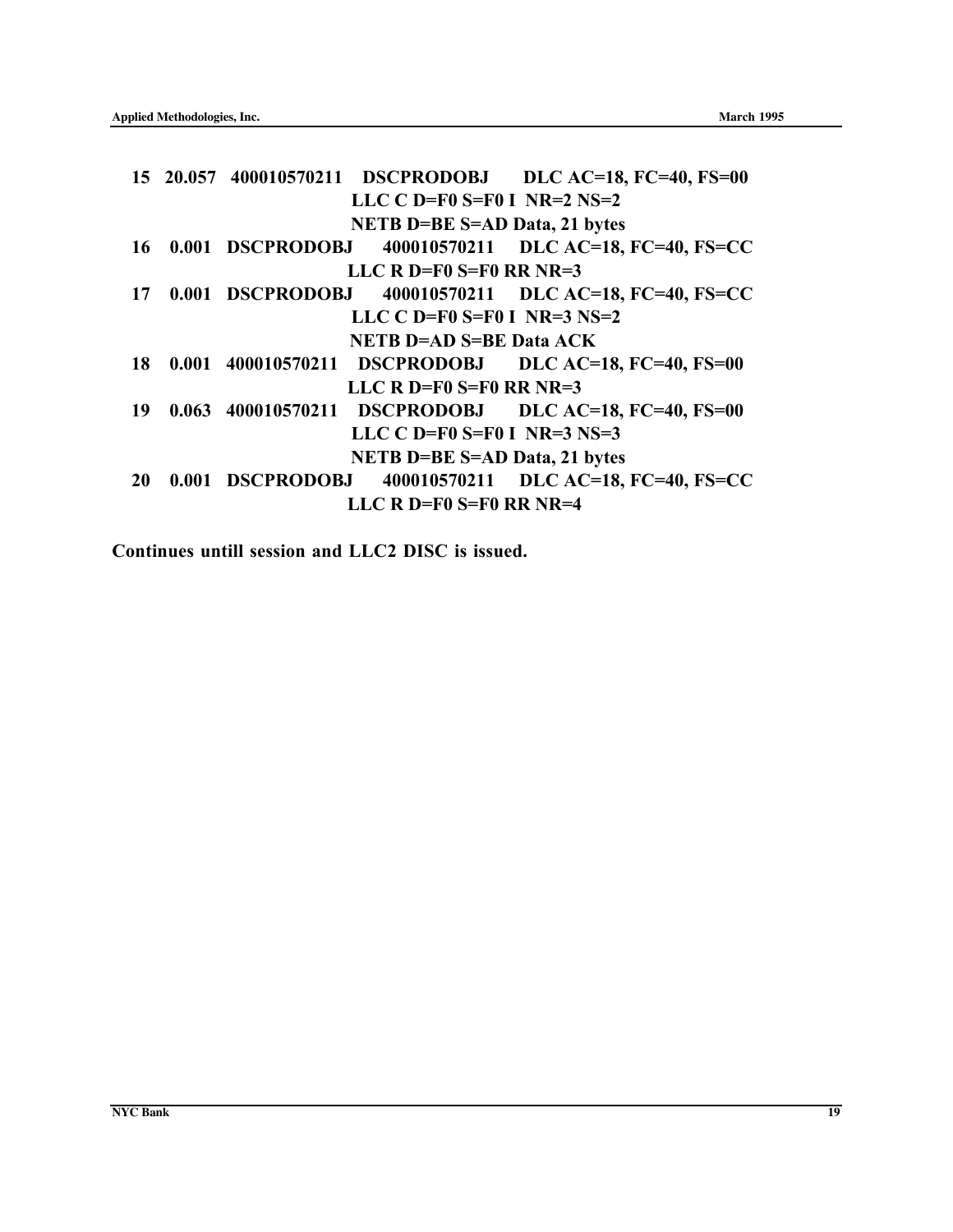|  | 400010570211 DLC AC=18, FC=40, FS=CC                                                                                                                                                                                                                                                                                                                                                                                                                                                                                                                          |
|--|---------------------------------------------------------------------------------------------------------------------------------------------------------------------------------------------------------------------------------------------------------------------------------------------------------------------------------------------------------------------------------------------------------------------------------------------------------------------------------------------------------------------------------------------------------------|
|  |                                                                                                                                                                                                                                                                                                                                                                                                                                                                                                                                                               |
|  | 400010570211 DLC AC=18, FC=40, FS=CC                                                                                                                                                                                                                                                                                                                                                                                                                                                                                                                          |
|  |                                                                                                                                                                                                                                                                                                                                                                                                                                                                                                                                                               |
|  |                                                                                                                                                                                                                                                                                                                                                                                                                                                                                                                                                               |
|  |                                                                                                                                                                                                                                                                                                                                                                                                                                                                                                                                                               |
|  |                                                                                                                                                                                                                                                                                                                                                                                                                                                                                                                                                               |
|  |                                                                                                                                                                                                                                                                                                                                                                                                                                                                                                                                                               |
|  |                                                                                                                                                                                                                                                                                                                                                                                                                                                                                                                                                               |
|  |                                                                                                                                                                                                                                                                                                                                                                                                                                                                                                                                                               |
|  | 400010570211 DLC AC=18, FC=40, FS=CC                                                                                                                                                                                                                                                                                                                                                                                                                                                                                                                          |
|  |                                                                                                                                                                                                                                                                                                                                                                                                                                                                                                                                                               |
|  | 15 20.057 400010570211 DSCPRODOBJ DLC AC=18, FC=40, FS=00<br>LLC $C$ D=F0 S=F0 I NR=2 NS=2<br><b>NETB D=BE S=AD Data, 21 bytes</b><br>0.001 DSCPRODOBJ<br>LLC R D=F0 $S=FO$ RR NR=3<br>0.001 DSCPRODOBJ<br>LLC C D=F0 $S=$ F0 I NR=3 NS=2<br><b>NETB D=AD S=BE Data ACK</b><br>0.001 400010570211 DSCPRODOBJ DLC AC=18, FC=40, FS=00<br>LLC R D=F0 $S=$ F0 RR NR=3<br>0.063 400010570211 DSCPRODOBJ DLC AC=18, FC=40, FS=00<br>LLC C $D=FO$ $S=FO$ I $NR=3$ $NS=3$<br><b>NETB D=BE S=AD Data, 21 bytes</b><br>0.001 DSCPRODOBJ<br>LLC R $D = F0$ S=F0 RR NR=4 |

Continues untill session and LLC2 DISC is issued.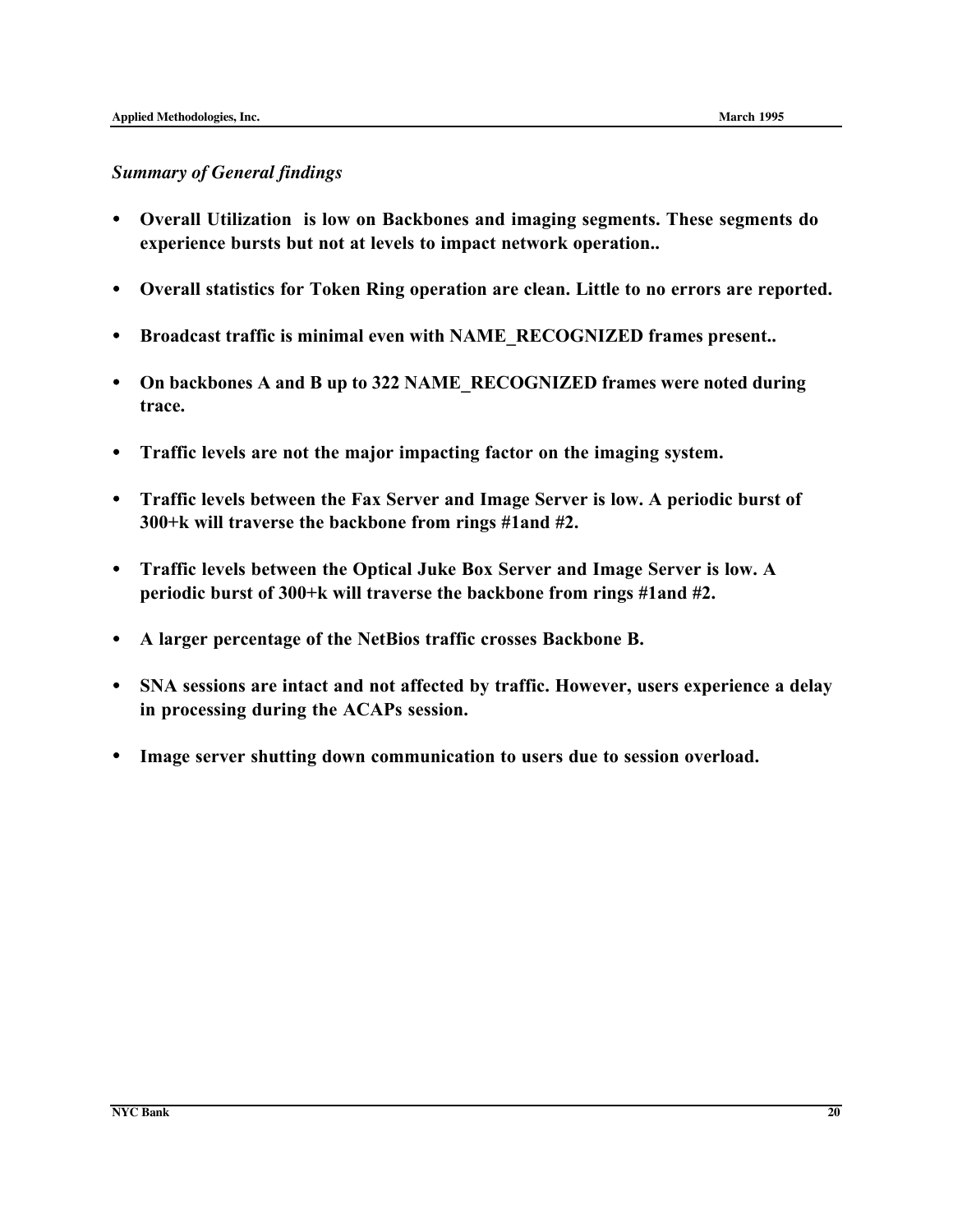#### *Summary of General findings*

- Overall Utilization is low on Backbones and imaging segments. These segments do experience bursts but not at levels to impact network operation..
- Overall statistics for Token Ring operation are clean. Little to no errors are reported.
- Broadcast traffic is minimal even with NAME\_RECOGNIZED frames present..
- On backbones A and B up to 322 NAME\_RECOGNIZED frames were noted during trace.
- Traffic levels are not the major impacting factor on the imaging system.
- Traffic levels between the Fax Server and Image Server is low. A periodic burst of 300+k will traverse the backbone from rings #1and #2.
- Traffic levels between the Optical Juke Box Server and Image Server is low. A periodic burst of 300+k will traverse the backbone from rings #1and #2.
- A larger percentage of the NetBios traffic crosses Backbone B.
- SNA sessions are intact and not affected by traffic. However, users experience a delay in processing during the ACAPs session.
- Image server shutting down communication to users due to session overload.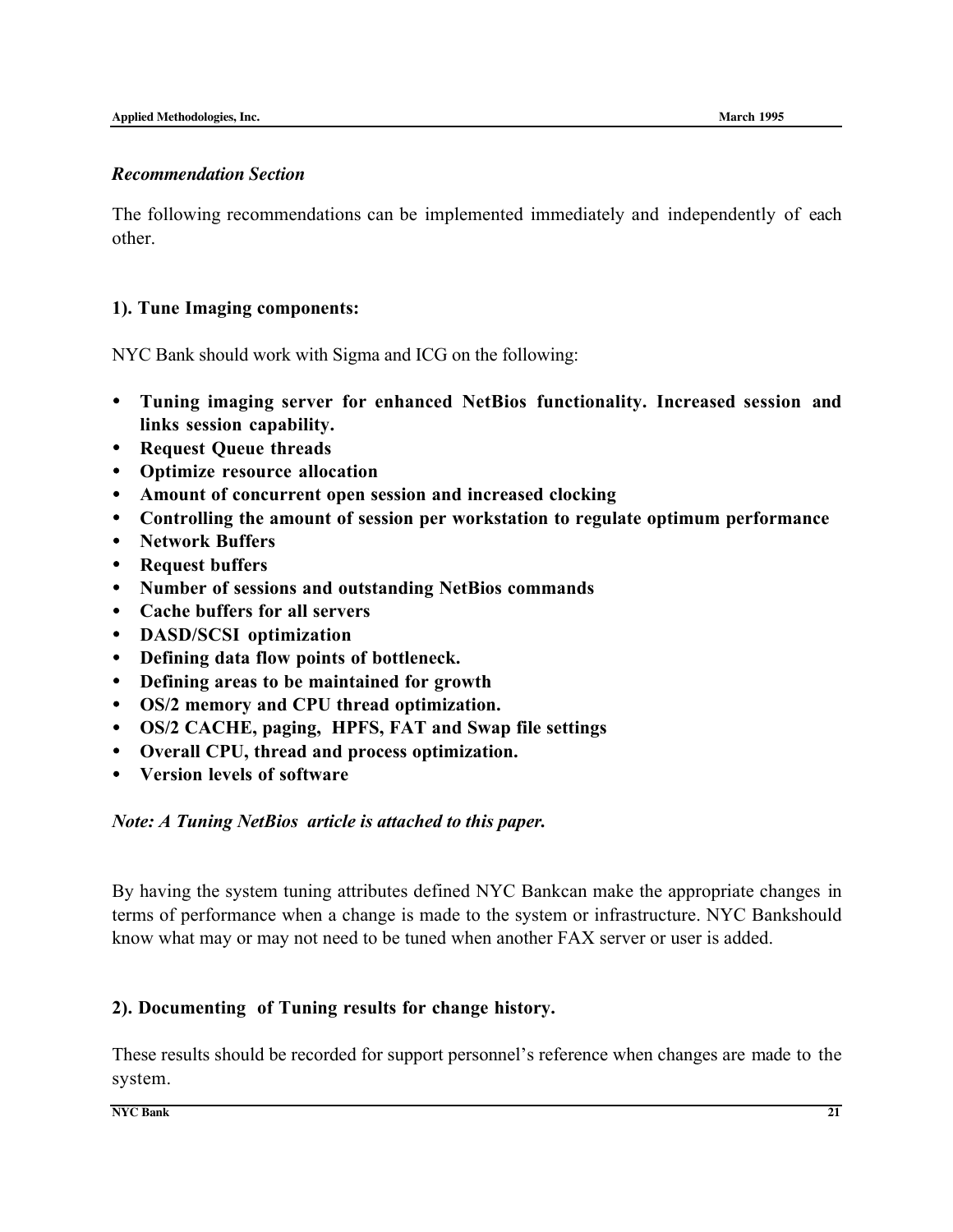#### *Recommendation Section*

The following recommendations can be implemented immediately and independently of each other.

#### 1). Tune Imaging components:

NYC Bank should work with Sigma and ICG on the following:

- Tuning imaging server for enhanced NetBios functionality. Increased session and links session capability.
- Request Queue threads
- Optimize resource allocation
- Amount of concurrent open session and increased clocking
- Controlling the amount of session per workstation to regulate optimum performance
- Network Buffers
- Request buffers
- Number of sessions and outstanding NetBios commands
- Cache buffers for all servers
- DASD/SCSI optimization
- Defining data flow points of bottleneck.
- Defining areas to be maintained for growth
- OS/2 memory and CPU thread optimization.
- OS/2 CACHE, paging, HPFS, FAT and Swap file settings
- Overall CPU, thread and process optimization.
- Version levels of software

#### *Note: A Tuning NetBios article is attached to this paper.*

By having the system tuning attributes defined NYC Bankcan make the appropriate changes in terms of performance when a change is made to the system or infrastructure. NYC Bankshould know what may or may not need to be tuned when another FAX server or user is added.

#### 2). Documenting of Tuning results for change history.

These results should be recorded for support personnel's reference when changes are made to the system.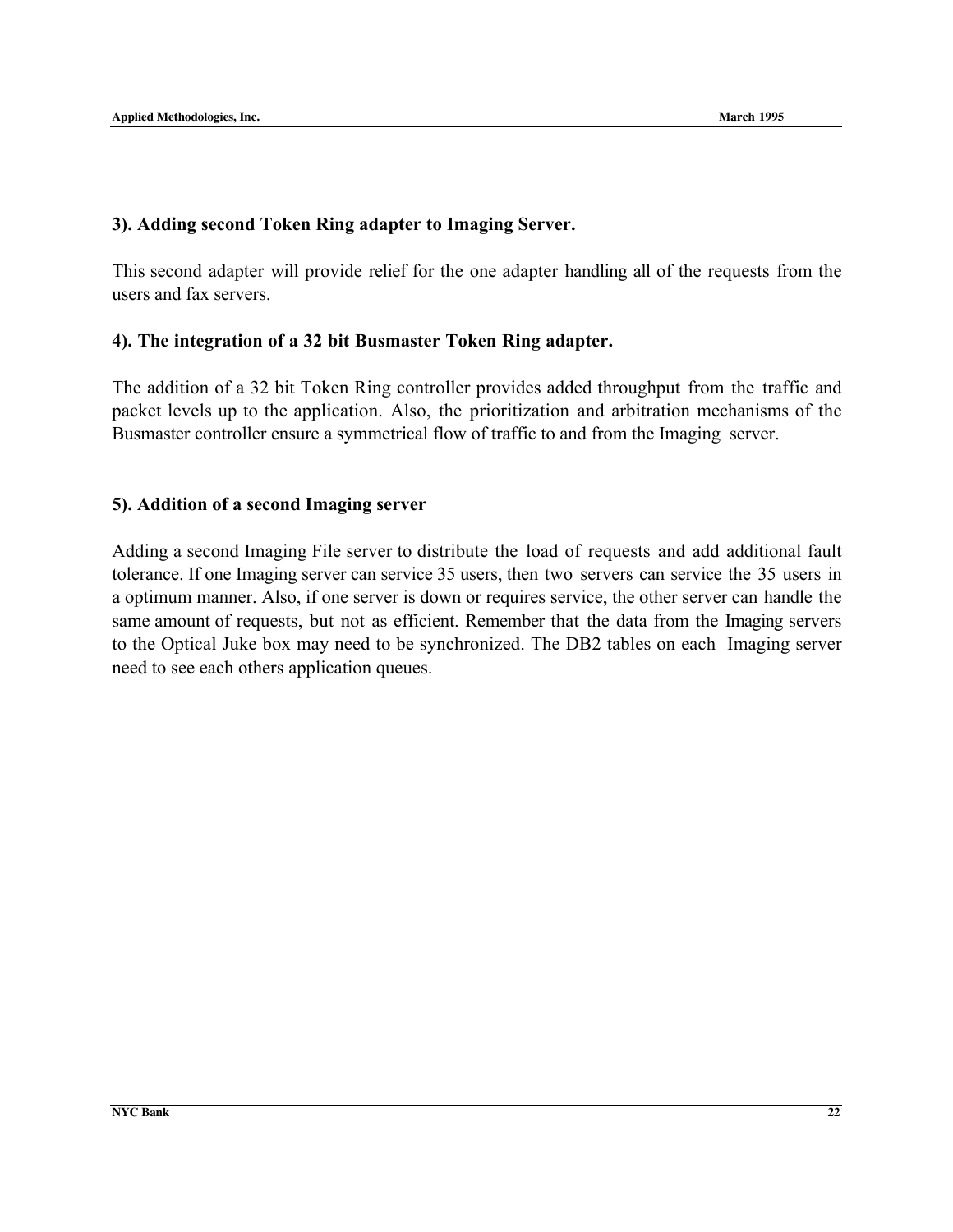#### 3). Adding second Token Ring adapter to Imaging Server.

This second adapter will provide relief for the one adapter handling all of the requests from the users and fax servers.

#### 4). The integration of a 32 bit Busmaster Token Ring adapter.

The addition of a 32 bit Token Ring controller provides added throughput from the traffic and packet levels up to the application. Also, the prioritization and arbitration mechanisms of the Busmaster controller ensure a symmetrical flow of traffic to and from the Imaging server.

#### 5). Addition of a second Imaging server

Adding a second Imaging File server to distribute the load of requests and add additional fault tolerance. If one Imaging server can service 35 users, then two servers can service the 35 users in a optimum manner. Also, if one server is down or requires service, the other server can handle the same amount of requests, but not as efficient. Remember that the data from the Imaging servers to the Optical Juke box may need to be synchronized. The DB2 tables on each Imaging server need to see each others application queues.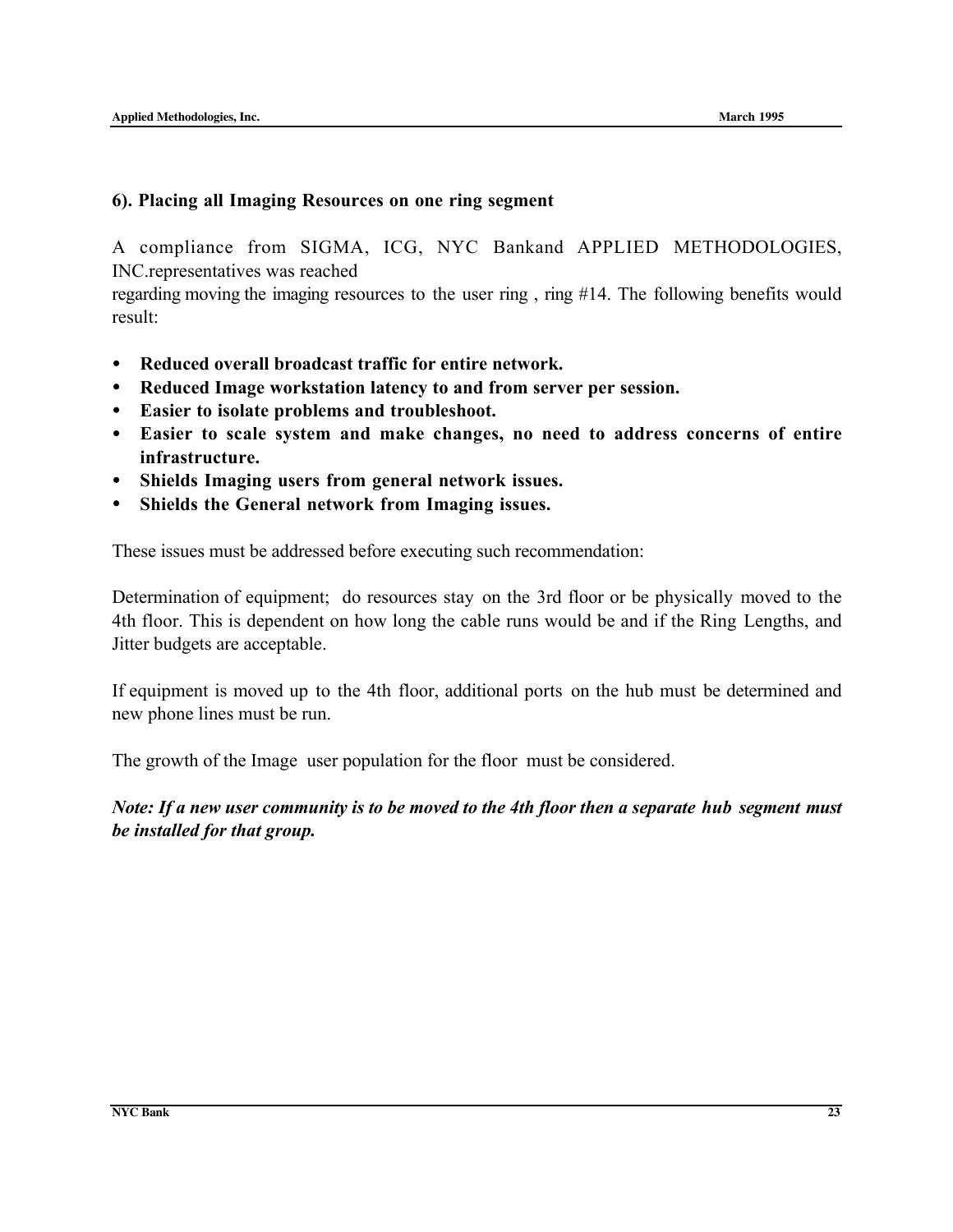#### 6). Placing all Imaging Resources on one ring segment

A compliance from SIGMA, ICG, NYC Bankand APPLIED METHODOLOGIES, INC.representatives was reached

regarding moving the imaging resources to the user ring , ring #14. The following benefits would result:

- Reduced overall broadcast traffic for entire network.
- Reduced Image workstation latency to and from server per session.
- Easier to isolate problems and troubleshoot.
- Easier to scale system and make changes, no need to address concerns of entire infrastructure.
- Shields Imaging users from general network issues.
- Shields the General network from Imaging issues.

These issues must be addressed before executing such recommendation:

Determination of equipment; do resources stay on the 3rd floor or be physically moved to the 4th floor. This is dependent on how long the cable runs would be and if the Ring Lengths, and Jitter budgets are acceptable.

If equipment is moved up to the 4th floor, additional ports on the hub must be determined and new phone lines must be run.

The growth of the Image user population for the floor must be considered.

*Note: If a new user community is to be moved to the 4th floor then a separate hub segment must be installed for that group.*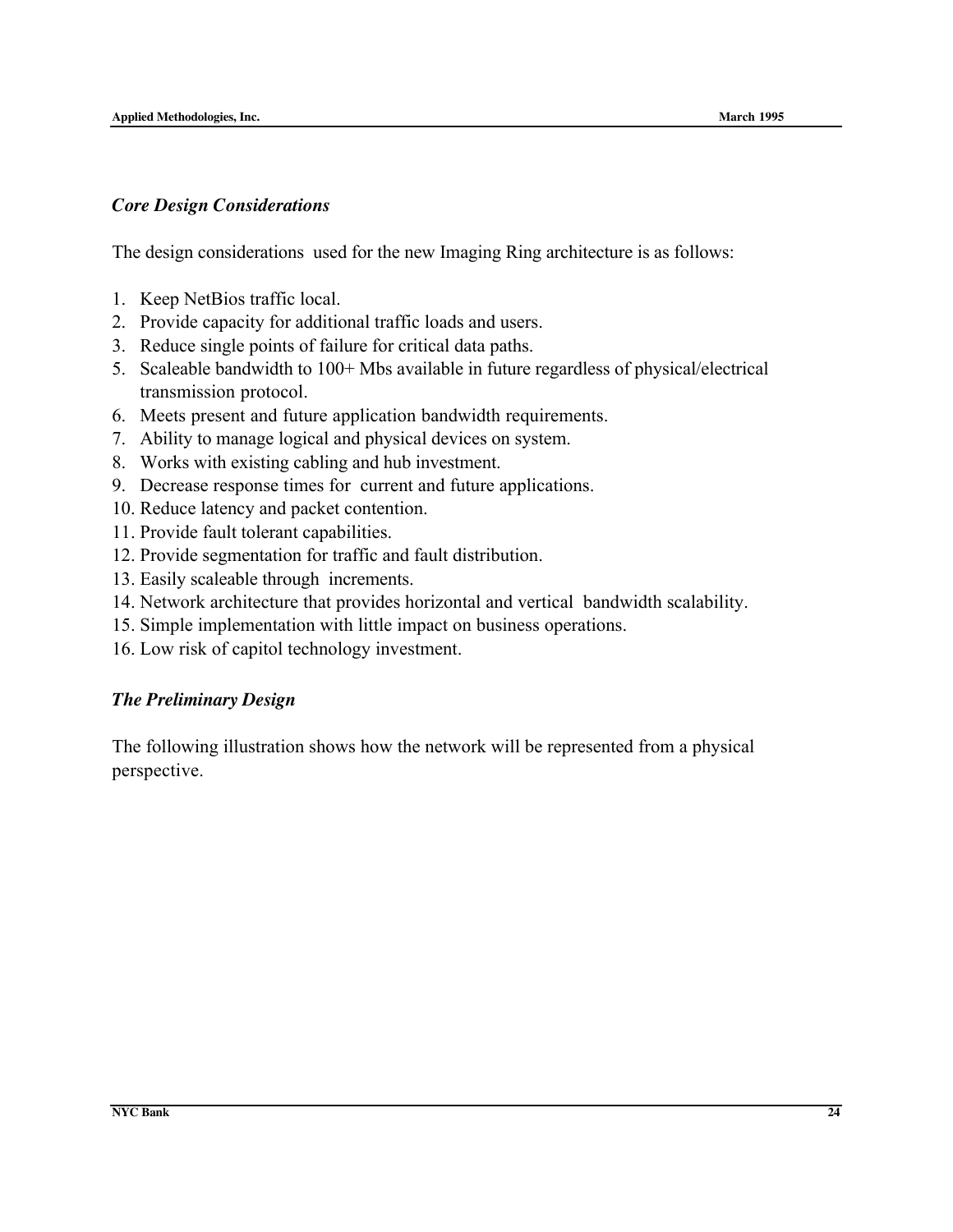#### *Core Design Considerations*

The design considerations used for the new Imaging Ring architecture is as follows:

- 1. Keep NetBios traffic local.
- 2. Provide capacity for additional traffic loads and users.
- 3. Reduce single points of failure for critical data paths.
- 5. Scaleable bandwidth to 100+ Mbs available in future regardless of physical/electrical transmission protocol.
- 6. Meets present and future application bandwidth requirements.
- 7. Ability to manage logical and physical devices on system.
- 8. Works with existing cabling and hub investment.
- 9. Decrease response times for current and future applications.
- 10. Reduce latency and packet contention.
- 11. Provide fault tolerant capabilities.
- 12. Provide segmentation for traffic and fault distribution.
- 13. Easily scaleable through increments.
- 14. Network architecture that provides horizontal and vertical bandwidth scalability.
- 15. Simple implementation with little impact on business operations.
- 16. Low risk of capitol technology investment.

#### *The Preliminary Design*

The following illustration shows how the network will be represented from a physical perspective.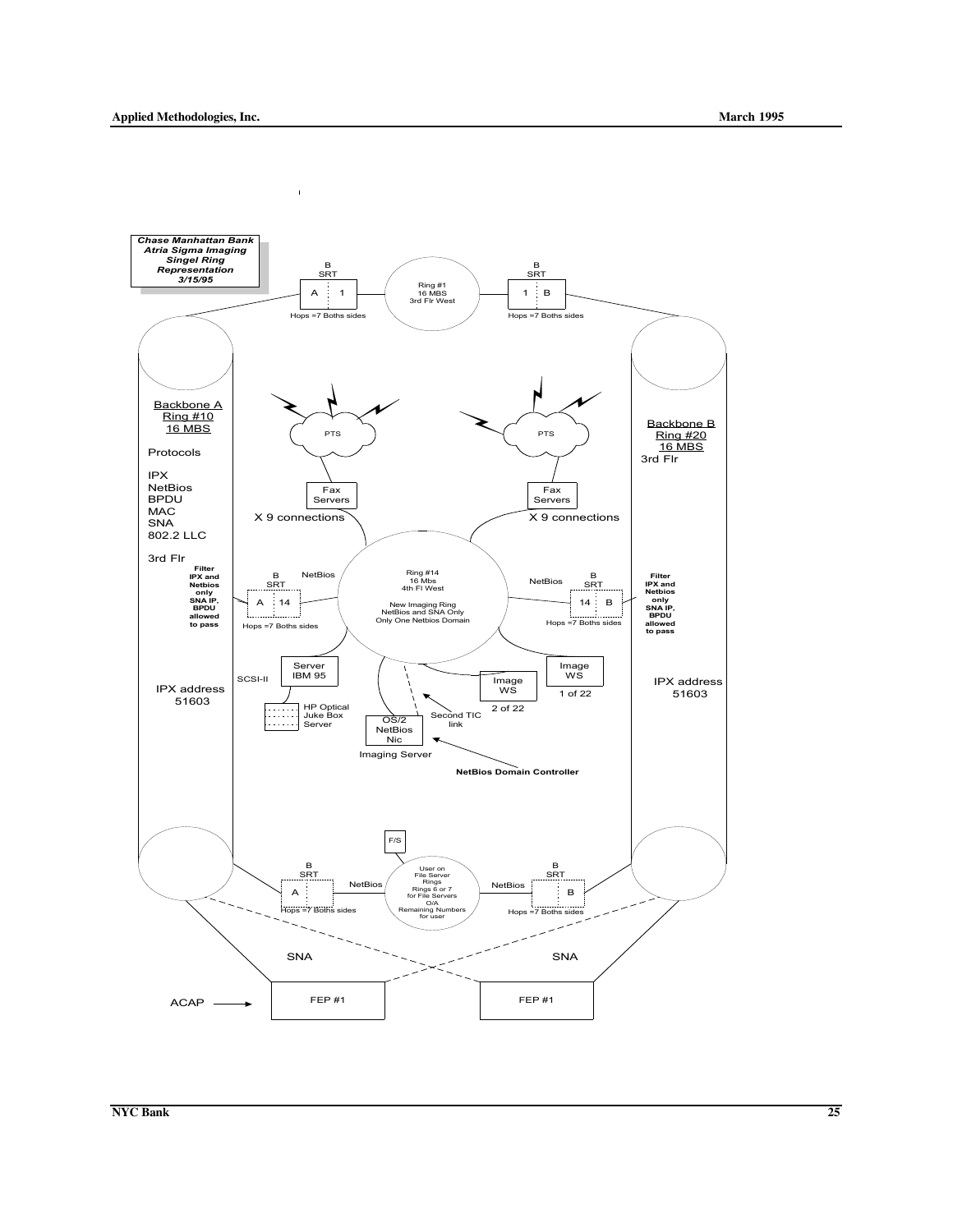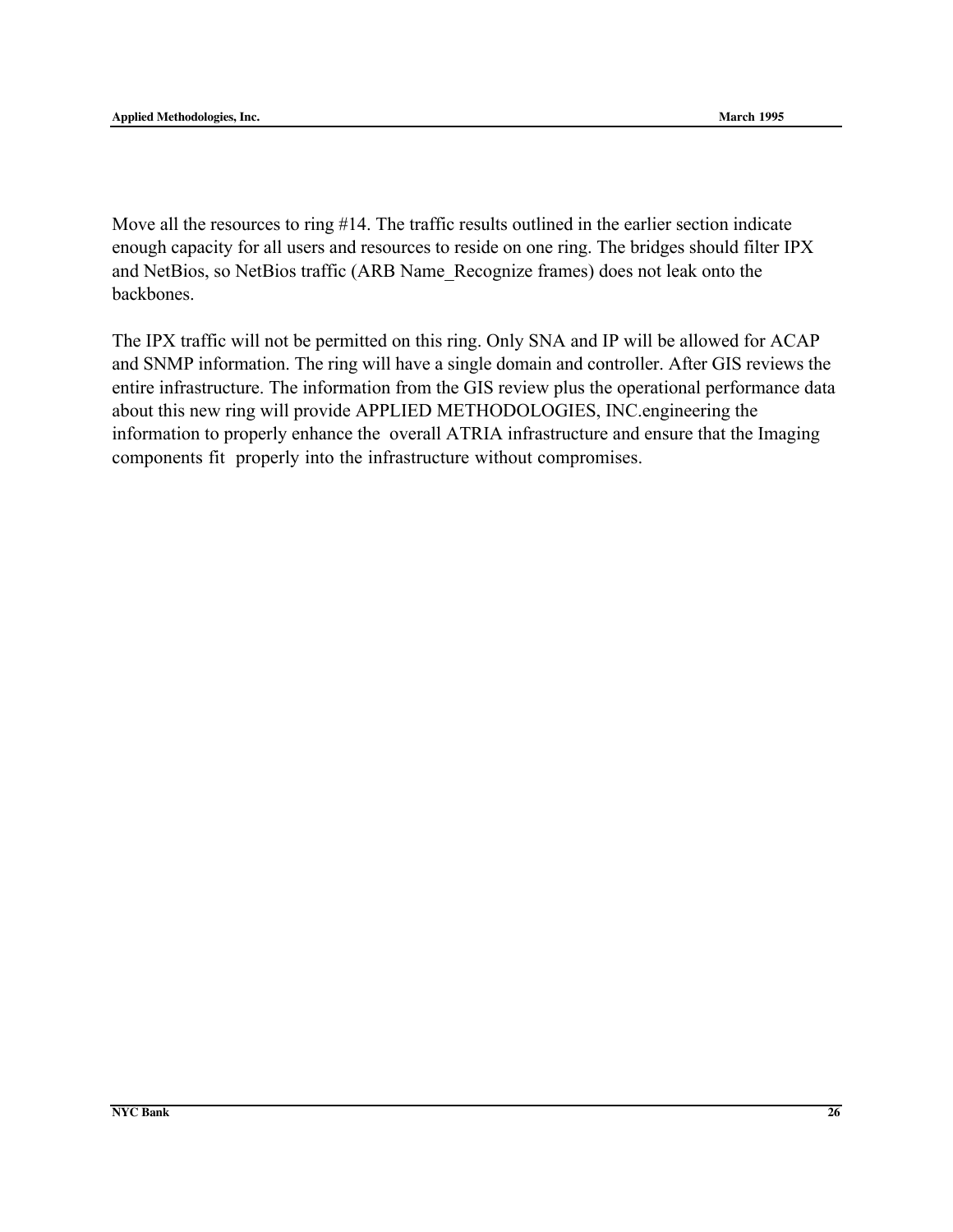Move all the resources to ring #14. The traffic results outlined in the earlier section indicate enough capacity for all users and resources to reside on one ring. The bridges should filter IPX and NetBios, so NetBios traffic (ARB Name\_Recognize frames) does not leak onto the backbones.

The IPX traffic will not be permitted on this ring. Only SNA and IP will be allowed for ACAP and SNMP information. The ring will have a single domain and controller. After GIS reviews the entire infrastructure. The information from the GIS review plus the operational performance data about this new ring will provide APPLIED METHODOLOGIES, INC.engineering the information to properly enhance the overall ATRIA infrastructure and ensure that the Imaging components fit properly into the infrastructure without compromises.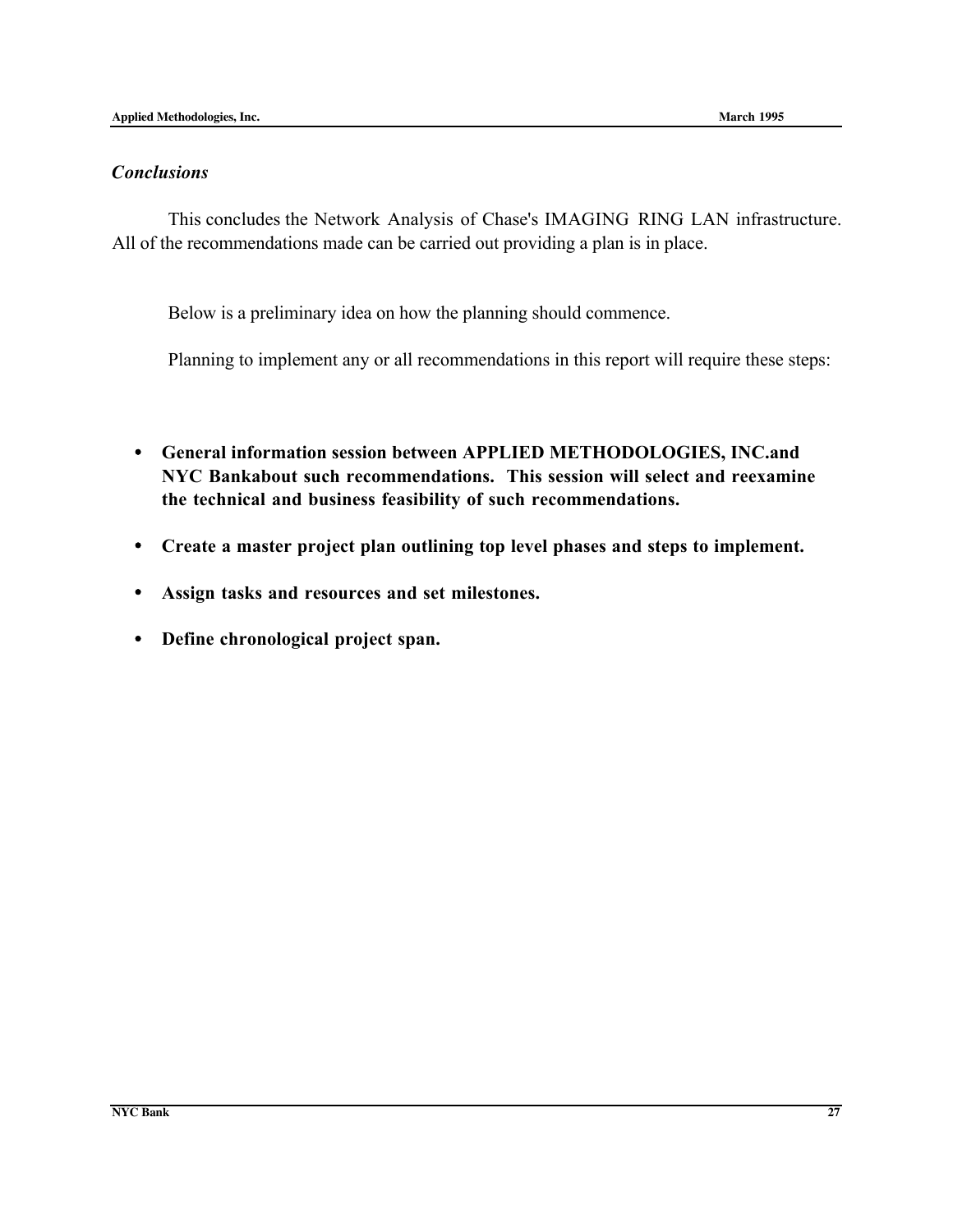#### *Conclusions*

This concludes the Network Analysis of Chase's IMAGING RING LAN infrastructure. All of the recommendations made can be carried out providing a plan is in place.

Below is a preliminary idea on how the planning should commence.

Planning to implement any or all recommendations in this report will require these steps:

- General information session between APPLIED METHODOLOGIES, INC.and NYC Bankabout such recommendations. This session will select and reexamine the technical and business feasibility of such recommendations.
- Create a master project plan outlining top level phases and steps to implement.
- Assign tasks and resources and set milestones.
- Define chronological project span.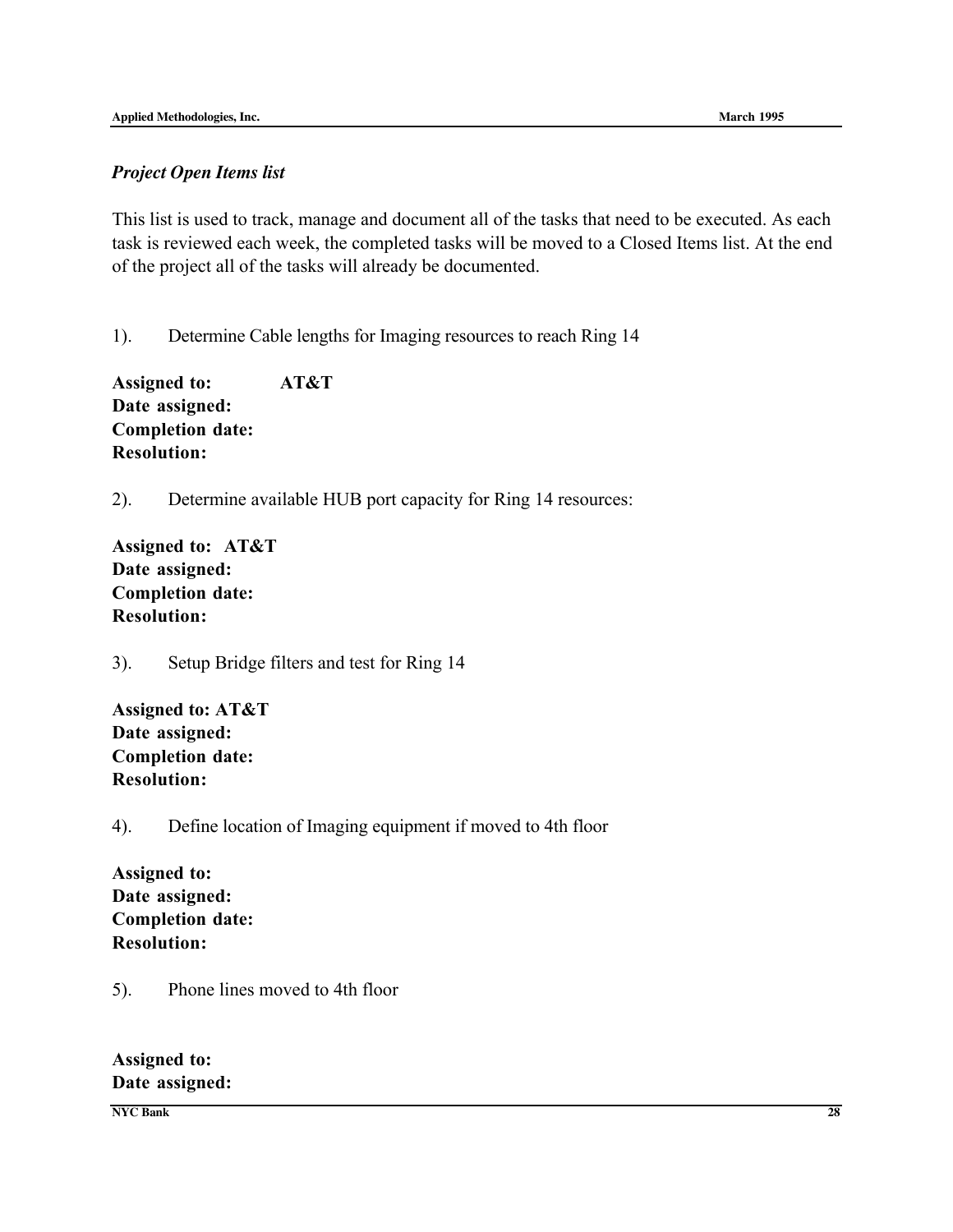#### *Project Open Items list*

This list is used to track, manage and document all of the tasks that need to be executed. As each task is reviewed each week, the completed tasks will be moved to a Closed Items list. At the end of the project all of the tasks will already be documented.

1). Determine Cable lengths for Imaging resources to reach Ring 14

Assigned to: AT&T Date assigned: Completion date: Resolution:

2). Determine available HUB port capacity for Ring 14 resources:

Assigned to: AT&T Date assigned: Completion date: Resolution:

3). Setup Bridge filters and test for Ring 14

Assigned to: AT&T Date assigned: Completion date: Resolution:

#### 4). Define location of Imaging equipment if moved to 4th floor

Assigned to: Date assigned: Completion date: Resolution:

5). Phone lines moved to 4th floor

Assigned to: Date assigned:

**NYC Bank 28**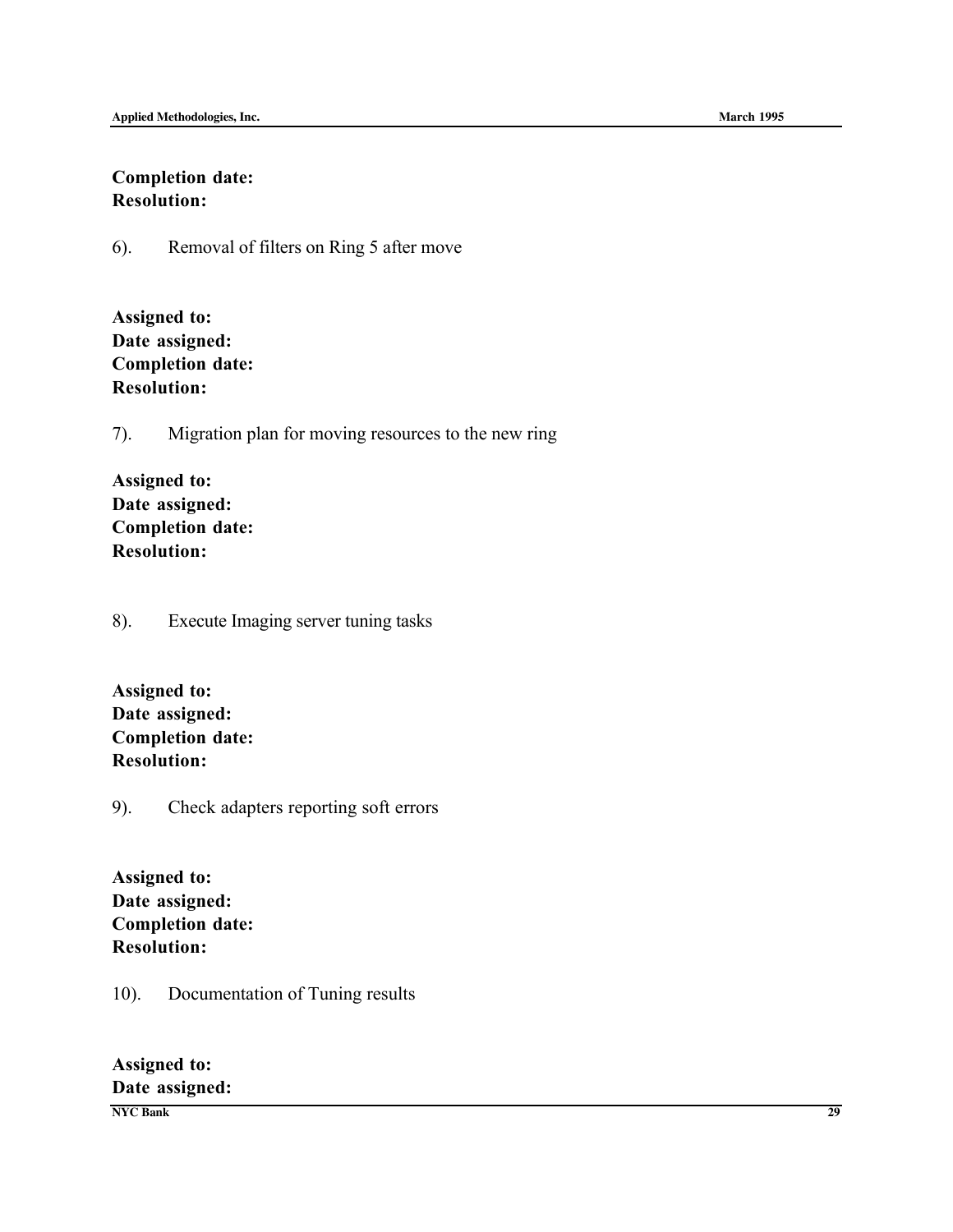## Completion date: Resolution:

6). Removal of filters on Ring 5 after move

| <b>Assigned to:</b>     |
|-------------------------|
| Date assigned:          |
| <b>Completion date:</b> |
| <b>Resolution:</b>      |

7). Migration plan for moving resources to the new ring

| <b>Assigned to:</b>     |
|-------------------------|
| Date assigned:          |
| <b>Completion date:</b> |
| <b>Resolution:</b>      |

8). Execute Imaging server tuning tasks

| <b>Assigned to:</b>     |
|-------------------------|
| Date assigned:          |
| <b>Completion date:</b> |
| <b>Resolution:</b>      |

9). Check adapters reporting soft errors

Assigned to: Date assigned: Completion date: Resolution:

10). Documentation of Tuning results

Assigned to: Date assigned:

**NYC Bank 29**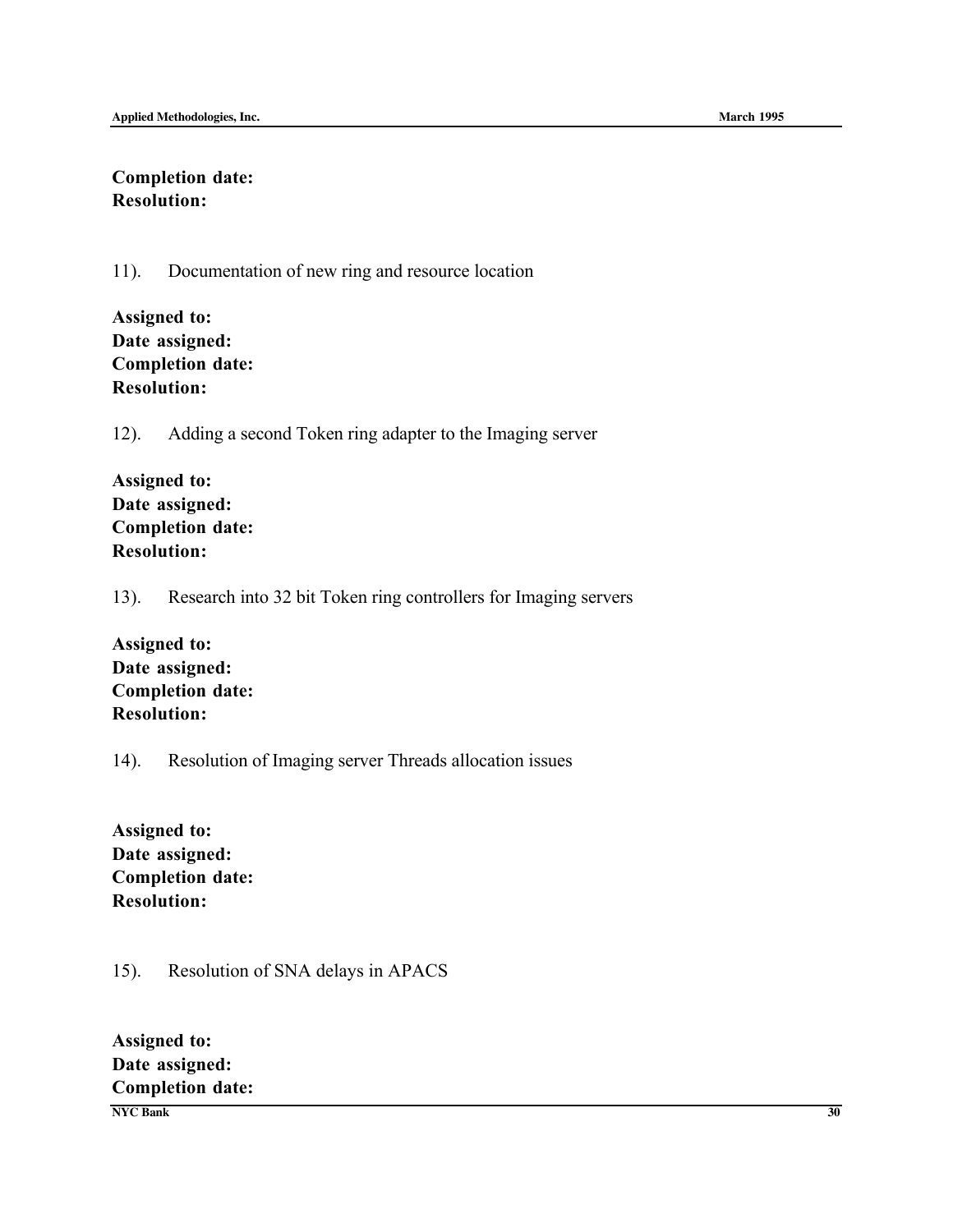#### Completion date: Resolution:

11). Documentation of new ring and resource location

| <b>Assigned to:</b>     |
|-------------------------|
| Date assigned:          |
| <b>Completion date:</b> |
| <b>Resolution:</b>      |

12). Adding a second Token ring adapter to the Imaging server

| <b>Assigned to:</b>     |
|-------------------------|
| Date assigned:          |
| <b>Completion date:</b> |
| <b>Resolution:</b>      |

13). Research into 32 bit Token ring controllers for Imaging servers

Assigned to: Date assigned: Completion date: Resolution:

#### 14). Resolution of Imaging server Threads allocation issues

Assigned to: Date assigned: Completion date: Resolution:

## 15). Resolution of SNA delays in APACS

**NYC Bank 30** Assigned to: Date assigned: Completion date: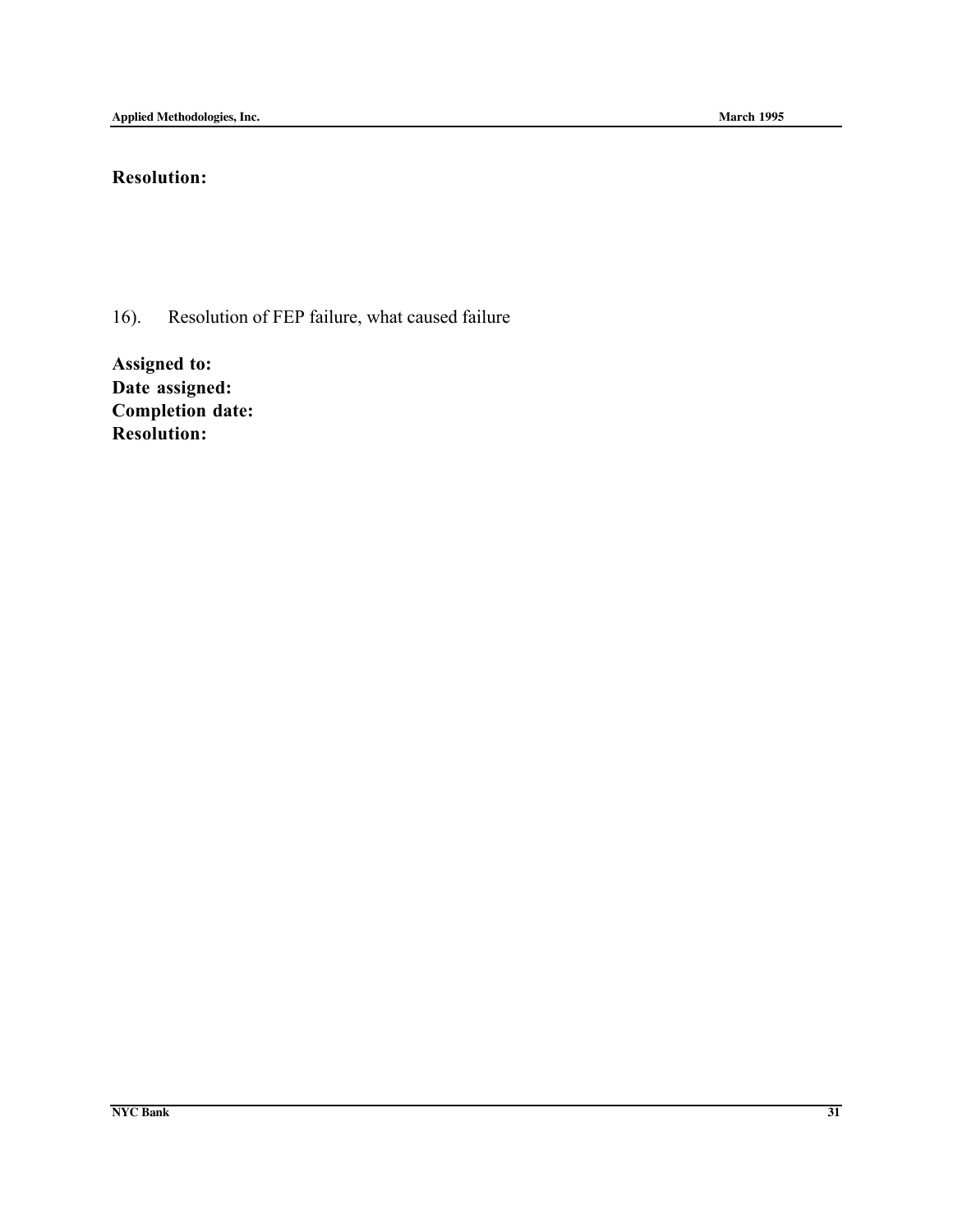## Resolution:

16). Resolution of FEP failure, what caused failure

Assigned to: Date assigned: Completion date: Resolution: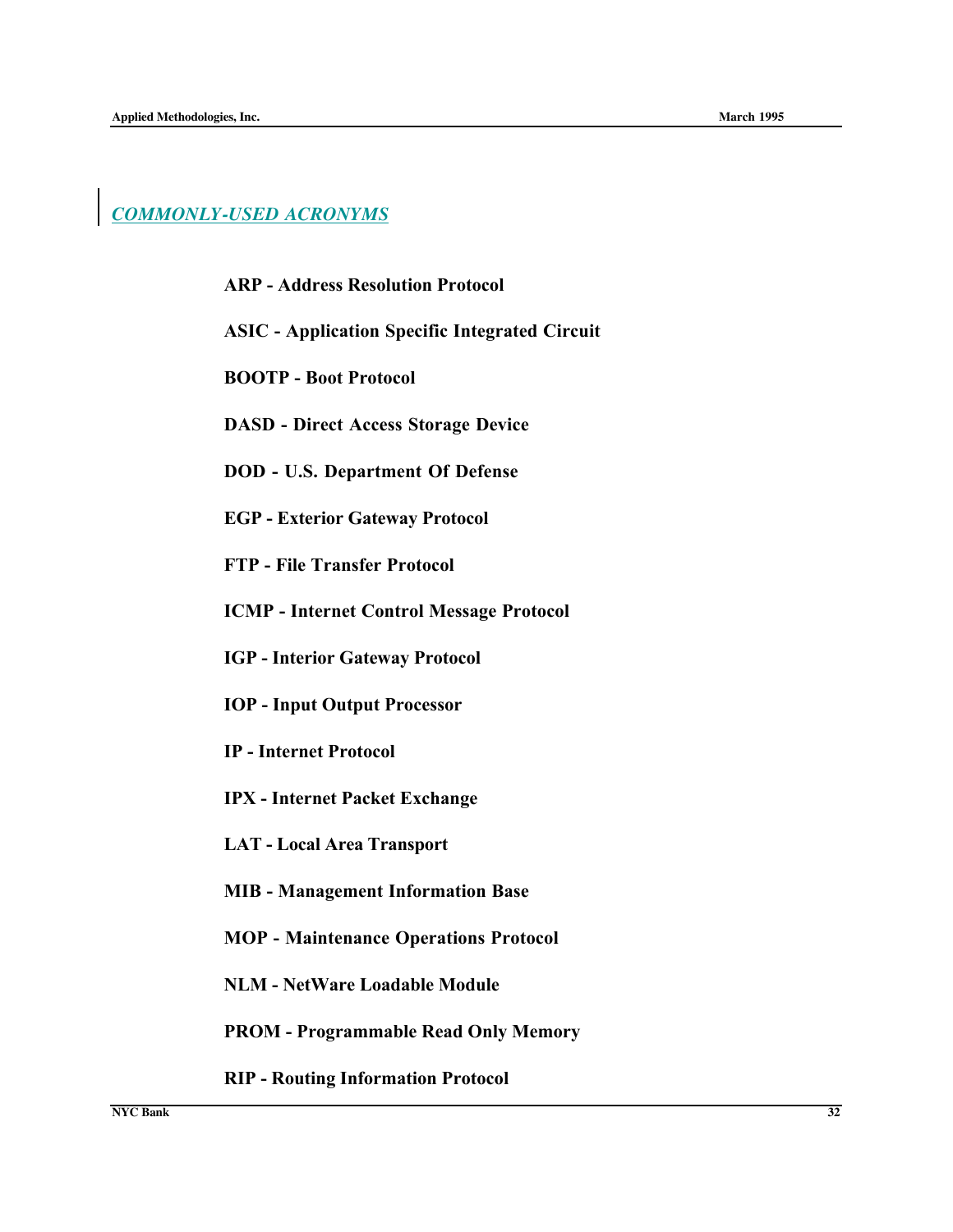## *COMMONLY-USED ACRONYMS*

#### ARP - Address Resolution Protocol

- ASIC Application Specific Integrated Circuit
- BOOTP Boot Protocol
- DASD Direct Access Storage Device
- DOD U.S. Department Of Defense
- EGP Exterior Gateway Protocol
- FTP File Transfer Protocol
- ICMP Internet Control Message Protocol
- IGP Interior Gateway Protocol
- IOP Input Output Processor
- IP Internet Protocol
- IPX Internet Packet Exchange
- LAT Local Area Transport
- MIB Management Information Base
- MOP Maintenance Operations Protocol
- NLM NetWare Loadable Module
- PROM Programmable Read Only Memory
- RIP Routing Information Protocol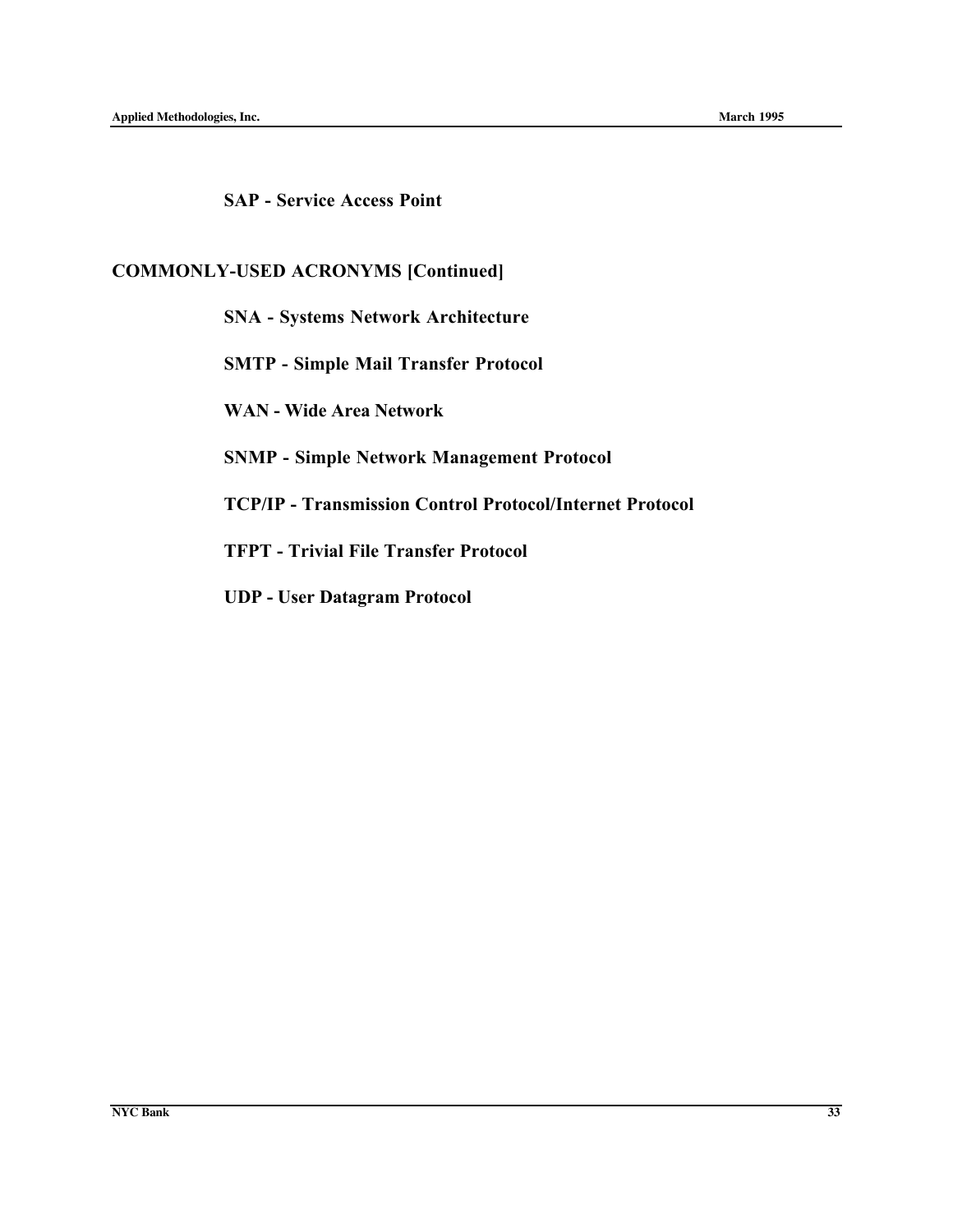SAP - Service Access Point

## COMMONLY-USED ACRONYMS [Continued]

SNA - Systems Network Architecture

SMTP - Simple Mail Transfer Protocol

WAN - Wide Area Network

SNMP - Simple Network Management Protocol

TCP/IP - Transmission Control Protocol/Internet Protocol

TFPT - Trivial File Transfer Protocol

UDP - User Datagram Protocol